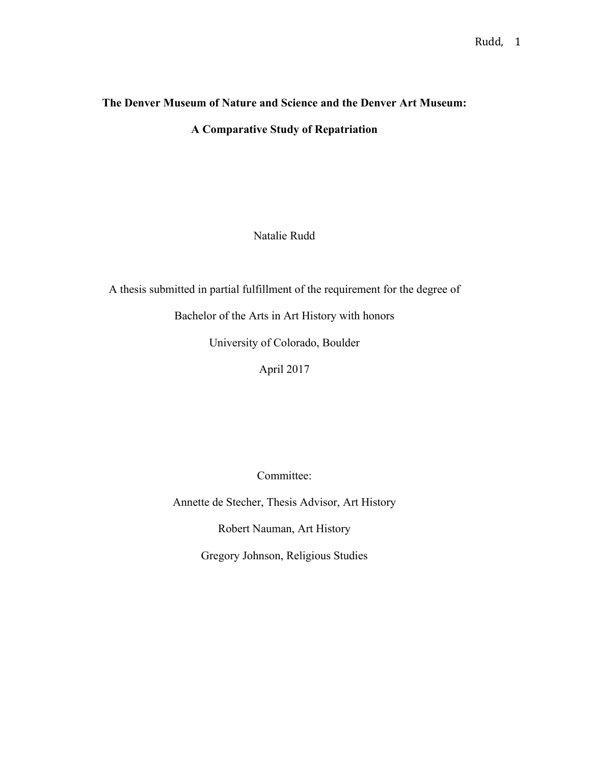# **The Denver Museum of Nature and Science and the Denver Art Museum:**

**A Comparative Study of Repatriation**

Natalie Rudd

A thesis submitted in partial fulfillment of the requirement for the degree of

Bachelor of the Arts in Art History with honors

University of Colorado, Boulder

April 2017

Committee:

Annette de Stecher, Thesis Advisor, Art History

Robert Nauman, Art History

Gregory Johnson, Religious Studies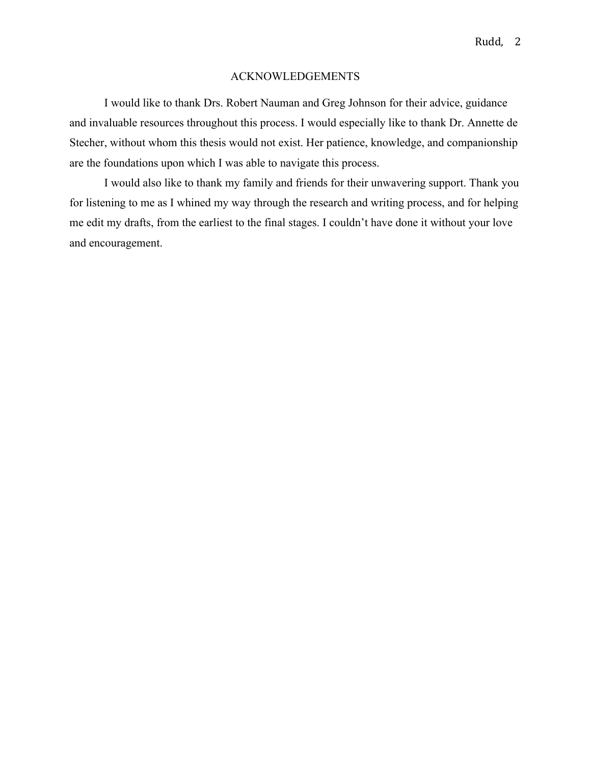# ACKNOWLEDGEMENTS

I would like to thank Drs. Robert Nauman and Greg Johnson for their advice, guidance and invaluable resources throughout this process. I would especially like to thank Dr. Annette de Stecher, without whom this thesis would not exist. Her patience, knowledge, and companionship are the foundations upon which I was able to navigate this process.

I would also like to thank my family and friends for their unwavering support. Thank you for listening to me as I whined my way through the research and writing process, and for helping me edit my drafts, from the earliest to the final stages. I couldn't have done it without your love and encouragement.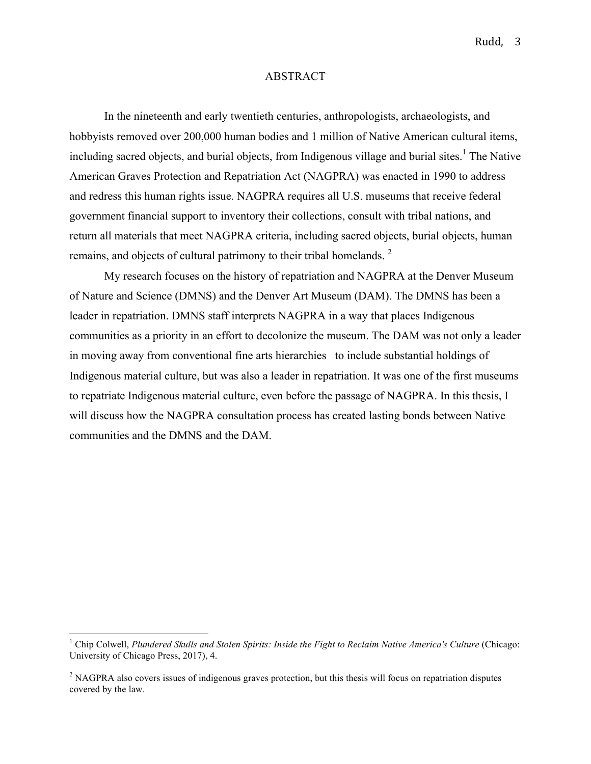## ABSTRACT

In the nineteenth and early twentieth centuries, anthropologists, archaeologists, and hobbyists removed over 200,000 human bodies and 1 million of Native American cultural items, including sacred objects, and burial objects, from Indigenous village and burial sites. <sup>1</sup> The Native American Graves Protection and Repatriation Act (NAGPRA) was enacted in 1990 to address and redress this human rights issue. NAGPRA requires all U.S. museums that receive federal government financial support to inventory their collections, consult with tribal nations, and return all materials that meet NAGPRA criteria, including sacred objects, burial objects, human remains, and objects of cultural patrimony to their tribal homelands.<sup>2</sup>

My research focuses on the history of repatriation and NAGPRA at the Denver Museum of Nature and Science (DMNS) and the Denver Art Museum (DAM). The DMNS has been a leader in repatriation. DMNS staff interprets NAGPRA in a way that places Indigenous communities as a priority in an effort to decolonize the museum. The DAM was not only a leader in moving away from conventional fine arts hierarchies to include substantial holdings of Indigenous material culture, but was also a leader in repatriation. It was one of the first museums to repatriate Indigenous material culture, even before the passage of NAGPRA. In this thesis, I will discuss how the NAGPRA consultation process has created lasting bonds between Native communities and the DMNS and the DAM.

<sup>&</sup>lt;sup>1</sup> Chip Colwell, *Plundered Skulls and Stolen Spirits: Inside the Fight to Reclaim Native America's Culture (Chicago:* University of Chicago Press, 2017), 4.

<sup>&</sup>lt;sup>2</sup> NAGPRA also covers issues of indigenous graves protection, but this thesis will focus on repatriation disputes covered by the law.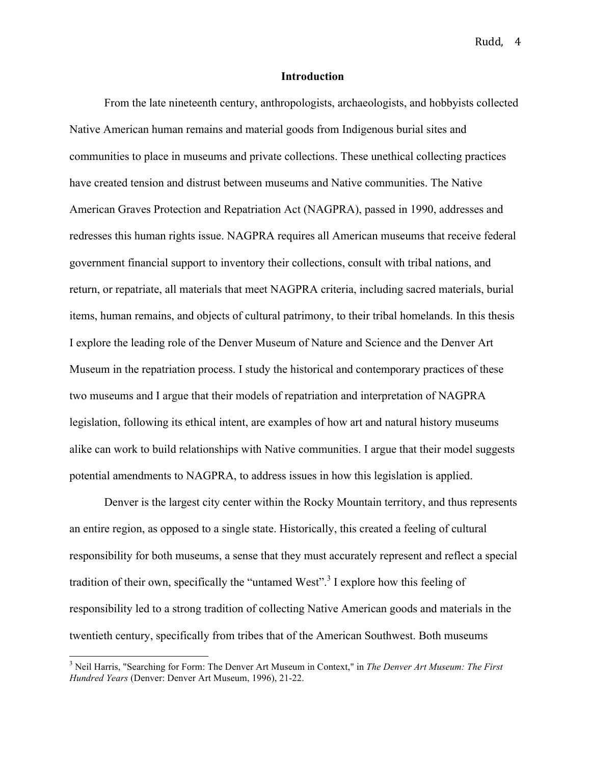## **Introduction**

From the late nineteenth century, anthropologists, archaeologists, and hobbyists collected Native American human remains and material goods from Indigenous burial sites and communities to place in museums and private collections. These unethical collecting practices have created tension and distrust between museums and Native communities. The Native American Graves Protection and Repatriation Act (NAGPRA), passed in 1990, addresses and redresses this human rights issue. NAGPRA requires all American museums that receive federal government financial support to inventory their collections, consult with tribal nations, and return, or repatriate, all materials that meet NAGPRA criteria, including sacred materials, burial items, human remains, and objects of cultural patrimony, to their tribal homelands. In this thesis I explore the leading role of the Denver Museum of Nature and Science and the Denver Art Museum in the repatriation process. I study the historical and contemporary practices of these two museums and I argue that their models of repatriation and interpretation of NAGPRA legislation, following its ethical intent, are examples of how art and natural history museums alike can work to build relationships with Native communities. I argue that their model suggests potential amendments to NAGPRA, to address issues in how this legislation is applied.

Denver is the largest city center within the Rocky Mountain territory, and thus represents an entire region, as opposed to a single state. Historically, this created a feeling of cultural responsibility for both museums, a sense that they must accurately represent and reflect a special tradition of their own, specifically the "untamed West".<sup>3</sup> I explore how this feeling of responsibility led to a strong tradition of collecting Native American goods and materials in the twentieth century, specifically from tribes that of the American Southwest. Both museums

 <sup>3</sup> Neil Harris, "Searching for Form: The Denver Art Museum in Context," in *The Denver Art Museum: The First Hundred Years* (Denver: Denver Art Museum, 1996), 21-22.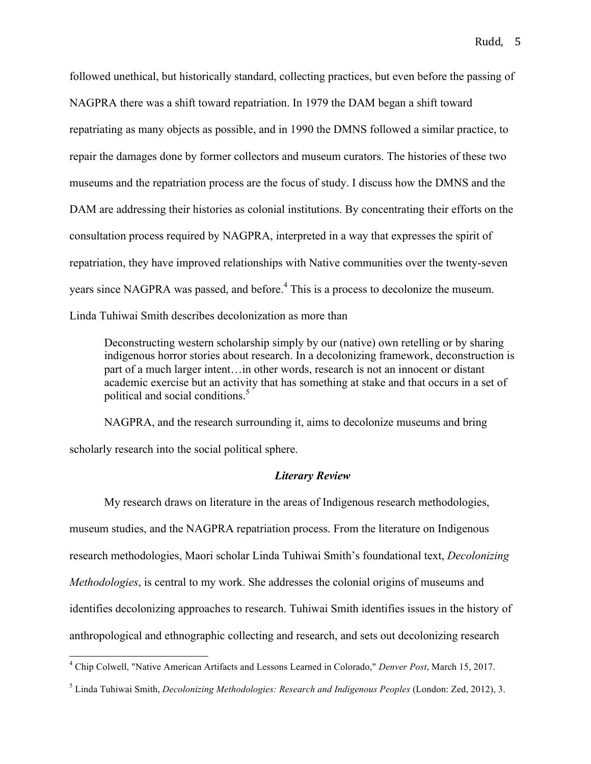followed unethical, but historically standard, collecting practices, but even before the passing of NAGPRA there was a shift toward repatriation. In 1979 the DAM began a shift toward repatriating as many objects as possible, and in 1990 the DMNS followed a similar practice, to repair the damages done by former collectors and museum curators. The histories of these two museums and the repatriation process are the focus of study. I discuss how the DMNS and the DAM are addressing their histories as colonial institutions. By concentrating their efforts on the consultation process required by NAGPRA, interpreted in a way that expresses the spirit of repatriation, they have improved relationships with Native communities over the twenty-seven years since NAGPRA was passed, and before. <sup>4</sup> This is a process to decolonize the museum. Linda Tuhiwai Smith describes decolonization as more than

Deconstructing western scholarship simply by our (native) own retelling or by sharing indigenous horror stories about research. In a decolonizing framework, deconstruction is part of a much larger intent…in other words, research is not an innocent or distant academic exercise but an activity that has something at stake and that occurs in a set of political and social conditions.<sup>5</sup>

NAGPRA, and the research surrounding it, aims to decolonize museums and bring scholarly research into the social political sphere.

## *Literary Review*

My research draws on literature in the areas of Indigenous research methodologies, museum studies, and the NAGPRA repatriation process. From the literature on Indigenous research methodologies, Maori scholar Linda Tuhiwai Smith's foundational text, *Decolonizing Methodologies*, is central to my work. She addresses the colonial origins of museums and identifies decolonizing approaches to research. Tuhiwai Smith identifies issues in the history of anthropological and ethnographic collecting and research, and sets out decolonizing research

 <sup>4</sup> Chip Colwell, "Native American Artifacts and Lessons Learned in Colorado," *Denver Post*, March 15, 2017.

<sup>5</sup> Linda Tuhiwai Smith, *Decolonizing Methodologies: Research and Indigenous Peoples* (London: Zed, 2012), 3.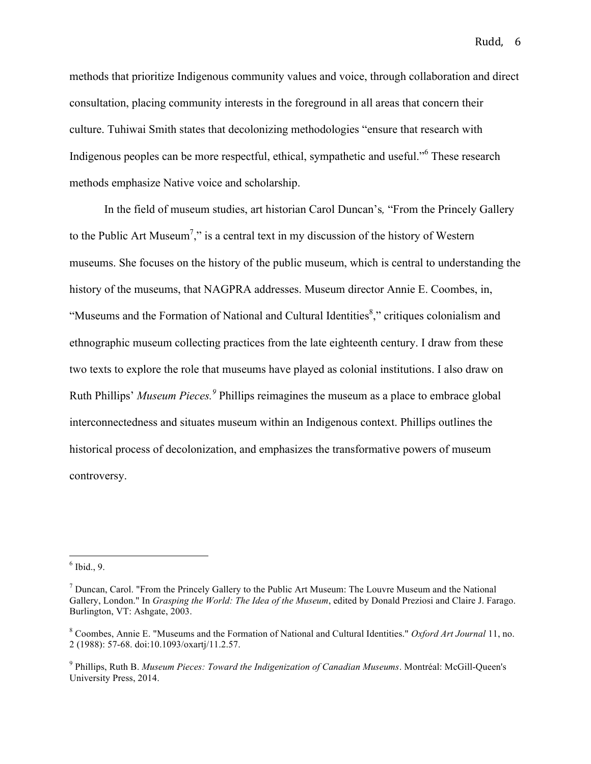methods that prioritize Indigenous community values and voice, through collaboration and direct consultation, placing community interests in the foreground in all areas that concern their culture. Tuhiwai Smith states that decolonizing methodologies "ensure that research with Indigenous peoples can be more respectful, ethical, sympathetic and useful."<sup>6</sup> These research methods emphasize Native voice and scholarship.

In the field of museum studies, art historian Carol Duncan's*,* "From the Princely Gallery to the Public Art Museum<sup>7</sup>," is a central text in my discussion of the history of Western museums. She focuses on the history of the public museum, which is central to understanding the history of the museums, that NAGPRA addresses. Museum director Annie E. Coombes, in, "Museums and the Formation of National and Cultural Identities<sup>8</sup>," critiques colonialism and ethnographic museum collecting practices from the late eighteenth century. I draw from these two texts to explore the role that museums have played as colonial institutions. I also draw on Ruth Phillips' *Museum Pieces.<sup>9</sup>* Phillips reimagines the museum as a place to embrace global interconnectedness and situates museum within an Indigenous context. Phillips outlines the historical process of decolonization, and emphasizes the transformative powers of museum controversy.

 $6$  Ibid., 9.

 $<sup>7</sup>$  Duncan, Carol. "From the Princely Gallery to the Public Art Museum: The Louvre Museum and the National</sup> Gallery, London." In *Grasping the World: The Idea of the Museum*, edited by Donald Preziosi and Claire J. Farago. Burlington, VT: Ashgate, 2003.

<sup>8</sup> Coombes, Annie E. "Museums and the Formation of National and Cultural Identities." *Oxford Art Journal* 11, no. 2 (1988): 57-68. doi:10.1093/oxartj/11.2.57.

<sup>9</sup> Phillips, Ruth B. *Museum Pieces: Toward the Indigenization of Canadian Museums*. Montréal: McGill-Queen's University Press, 2014.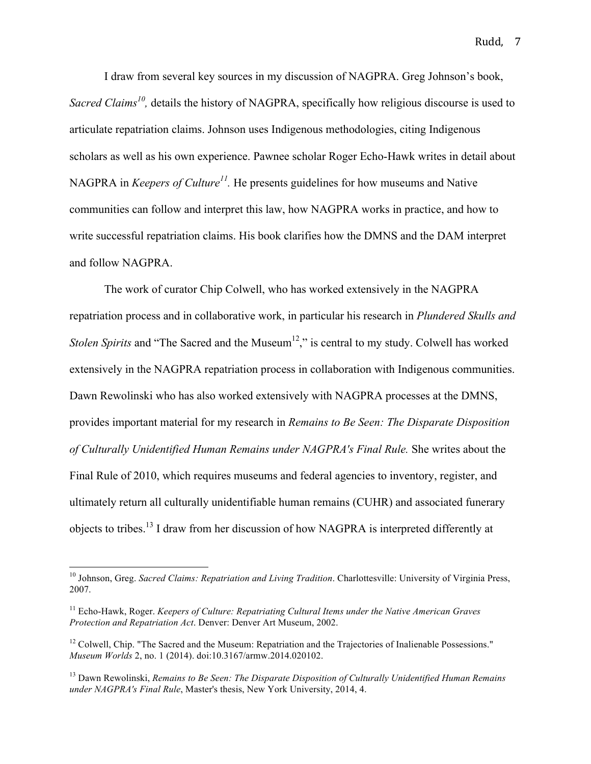I draw from several key sources in my discussion of NAGPRA. Greg Johnson's book, *Sacred Claims<sup>10</sup>*, details the history of NAGPRA, specifically how religious discourse is used to articulate repatriation claims. Johnson uses Indigenous methodologies, citing Indigenous scholars as well as his own experience. Pawnee scholar Roger Echo-Hawk writes in detail about NAGPRA in *Keepers of Culture<sup>11</sup>*. He presents guidelines for how museums and Native communities can follow and interpret this law, how NAGPRA works in practice, and how to write successful repatriation claims. His book clarifies how the DMNS and the DAM interpret and follow NAGPRA.

The work of curator Chip Colwell, who has worked extensively in the NAGPRA repatriation process and in collaborative work, in particular his research in *Plundered Skulls and Stolen Spirits* and "The Sacred and the Museum<sup>12</sup>," is central to my study. Colwell has worked extensively in the NAGPRA repatriation process in collaboration with Indigenous communities. Dawn Rewolinski who has also worked extensively with NAGPRA processes at the DMNS, provides important material for my research in *Remains to Be Seen: The Disparate Disposition of Culturally Unidentified Human Remains under NAGPRA's Final Rule.* She writes about the Final Rule of 2010, which requires museums and federal agencies to inventory, register, and ultimately return all culturally unidentifiable human remains (CUHR) and associated funerary objects to tribes.13 I draw from her discussion of how NAGPRA is interpreted differently at

 <sup>10</sup> Johnson, Greg. *Sacred Claims: Repatriation and Living Tradition*. Charlottesville: University of Virginia Press, 2007.

<sup>11</sup> Echo-Hawk, Roger. *Keepers of Culture: Repatriating Cultural Items under the Native American Graves Protection and Repatriation Act*. Denver: Denver Art Museum, 2002.

<sup>&</sup>lt;sup>12</sup> Colwell. Chip. "The Sacred and the Museum: Repatriation and the Trajectories of Inalienable Possessions." *Museum Worlds* 2, no. 1 (2014). doi:10.3167/armw.2014.020102.

<sup>13</sup> Dawn Rewolinski, *Remains to Be Seen: The Disparate Disposition of Culturally Unidentified Human Remains under NAGPRA's Final Rule*, Master's thesis, New York University, 2014, 4.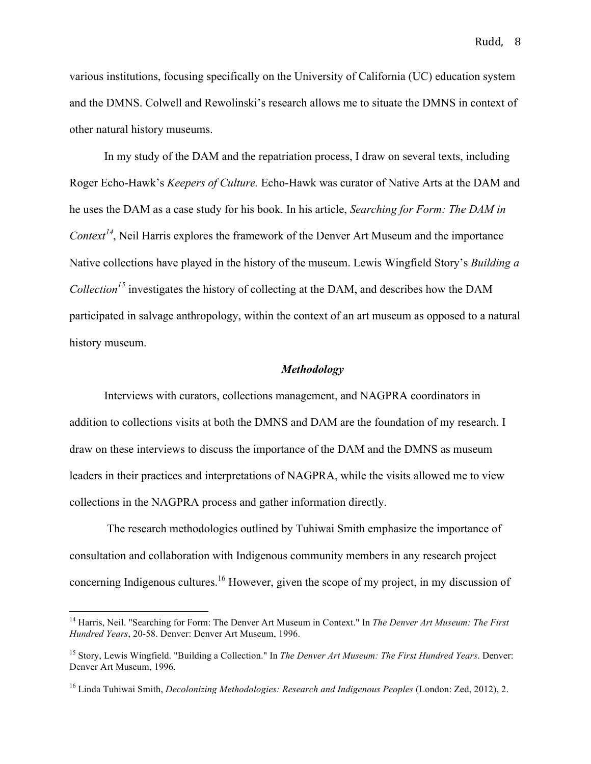various institutions, focusing specifically on the University of California (UC) education system and the DMNS. Colwell and Rewolinski's research allows me to situate the DMNS in context of other natural history museums.

In my study of the DAM and the repatriation process, I draw on several texts, including Roger Echo-Hawk's *Keepers of Culture.* Echo-Hawk was curator of Native Arts at the DAM and he uses the DAM as a case study for his book. In his article, *Searching for Form: The DAM in Context<sup>14</sup>*, Neil Harris explores the framework of the Denver Art Museum and the importance Native collections have played in the history of the museum. Lewis Wingfield Story's *Building a Collection15* investigates the history of collecting at the DAM, and describes how the DAM participated in salvage anthropology, within the context of an art museum as opposed to a natural history museum.

#### *Methodology*

Interviews with curators, collections management, and NAGPRA coordinators in addition to collections visits at both the DMNS and DAM are the foundation of my research. I draw on these interviews to discuss the importance of the DAM and the DMNS as museum leaders in their practices and interpretations of NAGPRA, while the visits allowed me to view collections in the NAGPRA process and gather information directly.

The research methodologies outlined by Tuhiwai Smith emphasize the importance of consultation and collaboration with Indigenous community members in any research project concerning Indigenous cultures.<sup>16</sup> However, given the scope of my project, in my discussion of

 <sup>14</sup> Harris, Neil. "Searching for Form: The Denver Art Museum in Context." In *The Denver Art Museum: The First Hundred Years*, 20-58. Denver: Denver Art Museum, 1996.

<sup>15</sup> Story, Lewis Wingfield. "Building a Collection." In *The Denver Art Museum: The First Hundred Years*. Denver: Denver Art Museum, 1996.

<sup>16</sup> Linda Tuhiwai Smith, *Decolonizing Methodologies: Research and Indigenous Peoples* (London: Zed, 2012), 2.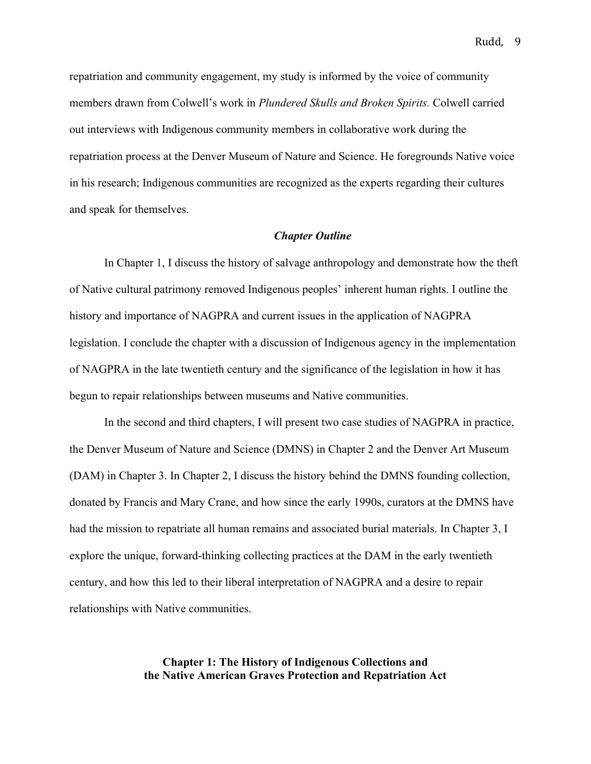repatriation and community engagement, my study is informed by the voice of community members drawn from Colwell's work in *Plundered Skulls and Broken Spirits.* Colwell carried out interviews with Indigenous community members in collaborative work during the repatriation process at the Denver Museum of Nature and Science. He foregrounds Native voice in his research; Indigenous communities are recognized as the experts regarding their cultures and speak for themselves.

## *Chapter Outline*

In Chapter 1, I discuss the history of salvage anthropology and demonstrate how the theft of Native cultural patrimony removed Indigenous peoples' inherent human rights. I outline the history and importance of NAGPRA and current issues in the application of NAGPRA legislation. I conclude the chapter with a discussion of Indigenous agency in the implementation of NAGPRA in the late twentieth century and the significance of the legislation in how it has begun to repair relationships between museums and Native communities.

In the second and third chapters, I will present two case studies of NAGPRA in practice, the Denver Museum of Nature and Science (DMNS) in Chapter 2 and the Denver Art Museum (DAM) in Chapter 3. In Chapter 2, I discuss the history behind the DMNS founding collection, donated by Francis and Mary Crane, and how since the early 1990s, curators at the DMNS have had the mission to repatriate all human remains and associated burial materials. In Chapter 3, I explore the unique, forward-thinking collecting practices at the DAM in the early twentieth century, and how this led to their liberal interpretation of NAGPRA and a desire to repair relationships with Native communities.

> **Chapter 1: The History of Indigenous Collections and the Native American Graves Protection and Repatriation Act**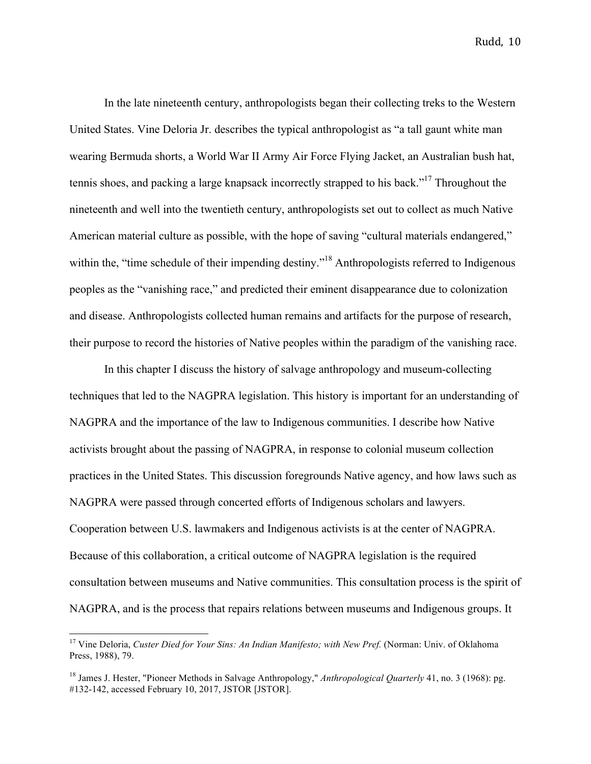In the late nineteenth century, anthropologists began their collecting treks to the Western United States. Vine Deloria Jr. describes the typical anthropologist as "a tall gaunt white man wearing Bermuda shorts, a World War II Army Air Force Flying Jacket, an Australian bush hat, tennis shoes, and packing a large knapsack incorrectly strapped to his back."17 Throughout the nineteenth and well into the twentieth century, anthropologists set out to collect as much Native American material culture as possible, with the hope of saving "cultural materials endangered," within the, "time schedule of their impending destiny."<sup>18</sup> Anthropologists referred to Indigenous peoples as the "vanishing race," and predicted their eminent disappearance due to colonization and disease. Anthropologists collected human remains and artifacts for the purpose of research, their purpose to record the histories of Native peoples within the paradigm of the vanishing race.

In this chapter I discuss the history of salvage anthropology and museum-collecting techniques that led to the NAGPRA legislation. This history is important for an understanding of NAGPRA and the importance of the law to Indigenous communities. I describe how Native activists brought about the passing of NAGPRA, in response to colonial museum collection practices in the United States. This discussion foregrounds Native agency, and how laws such as NAGPRA were passed through concerted efforts of Indigenous scholars and lawyers. Cooperation between U.S. lawmakers and Indigenous activists is at the center of NAGPRA. Because of this collaboration, a critical outcome of NAGPRA legislation is the required consultation between museums and Native communities. This consultation process is the spirit of NAGPRA, and is the process that repairs relations between museums and Indigenous groups. It

 <sup>17</sup> Vine Deloria, *Custer Died for Your Sins: An Indian Manifesto; with New Pref.* (Norman: Univ. of Oklahoma Press, 1988), 79.

<sup>18</sup> James J. Hester, "Pioneer Methods in Salvage Anthropology," *Anthropological Quarterly* 41, no. 3 (1968): pg. #132-142, accessed February 10, 2017, JSTOR [JSTOR].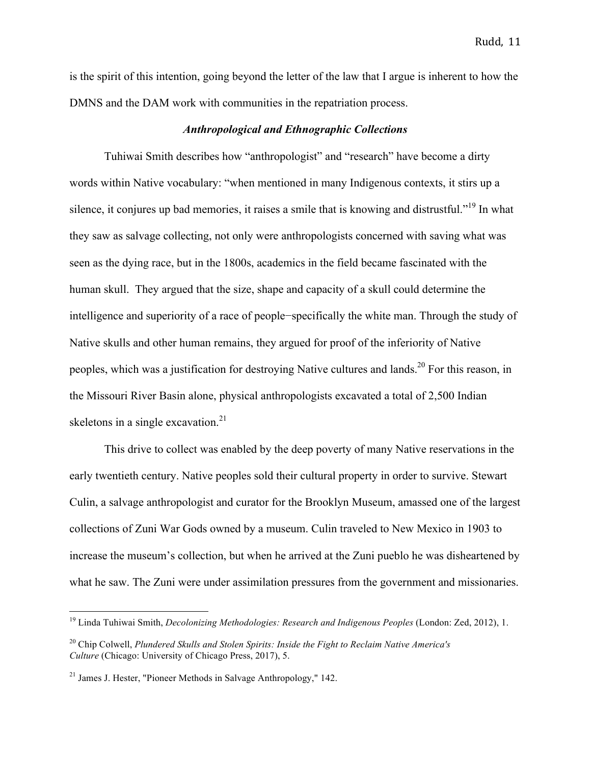is the spirit of this intention, going beyond the letter of the law that I argue is inherent to how the DMNS and the DAM work with communities in the repatriation process.

## *Anthropological and Ethnographic Collections*

Tuhiwai Smith describes how "anthropologist" and "research" have become a dirty words within Native vocabulary: "when mentioned in many Indigenous contexts, it stirs up a silence, it conjures up bad memories, it raises a smile that is knowing and distrustful."<sup>19</sup> In what they saw as salvage collecting, not only were anthropologists concerned with saving what was seen as the dying race, but in the 1800s, academics in the field became fascinated with the human skull. They argued that the size, shape and capacity of a skull could determine the intelligence and superiority of a race of people−specifically the white man. Through the study of Native skulls and other human remains, they argued for proof of the inferiority of Native peoples, which was a justification for destroying Native cultures and lands.<sup>20</sup> For this reason, in the Missouri River Basin alone, physical anthropologists excavated a total of 2,500 Indian skeletons in a single excavation.<sup>21</sup>

This drive to collect was enabled by the deep poverty of many Native reservations in the early twentieth century. Native peoples sold their cultural property in order to survive. Stewart Culin, a salvage anthropologist and curator for the Brooklyn Museum, amassed one of the largest collections of Zuni War Gods owned by a museum. Culin traveled to New Mexico in 1903 to increase the museum's collection, but when he arrived at the Zuni pueblo he was disheartened by what he saw. The Zuni were under assimilation pressures from the government and missionaries.

 <sup>19</sup> Linda Tuhiwai Smith, *Decolonizing Methodologies: Research and Indigenous Peoples* (London: Zed, 2012), 1.

<sup>20</sup> Chip Colwell, *Plundered Skulls and Stolen Spirits: Inside the Fight to Reclaim Native America's Culture* (Chicago: University of Chicago Press, 2017), 5.

 $21$  James J. Hester, "Pioneer Methods in Salvage Anthropology," 142.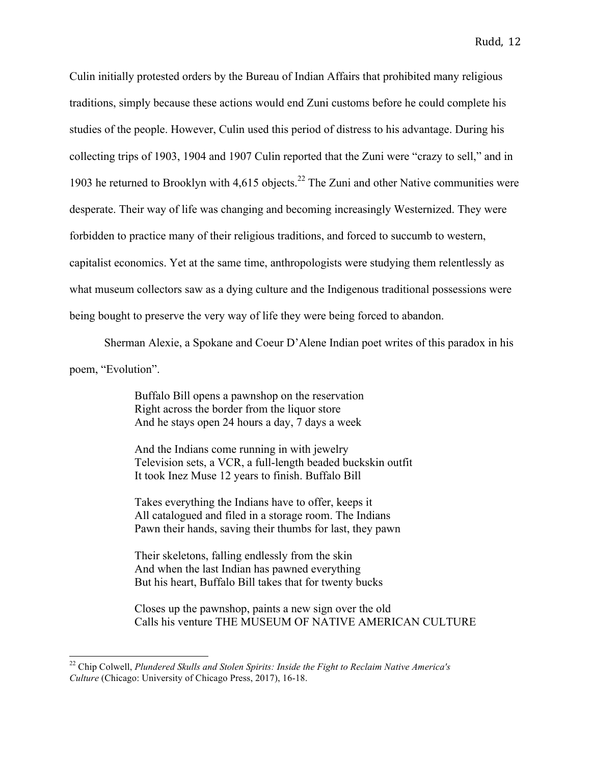Culin initially protested orders by the Bureau of Indian Affairs that prohibited many religious traditions, simply because these actions would end Zuni customs before he could complete his studies of the people. However, Culin used this period of distress to his advantage. During his collecting trips of 1903, 1904 and 1907 Culin reported that the Zuni were "crazy to sell," and in 1903 he returned to Brooklyn with  $4.615$  objects.<sup>22</sup> The Zuni and other Native communities were desperate. Their way of life was changing and becoming increasingly Westernized. They were forbidden to practice many of their religious traditions, and forced to succumb to western, capitalist economics. Yet at the same time, anthropologists were studying them relentlessly as what museum collectors saw as a dying culture and the Indigenous traditional possessions were being bought to preserve the very way of life they were being forced to abandon.

Sherman Alexie, a Spokane and Coeur D'Alene Indian poet writes of this paradox in his

poem, "Evolution".

Buffalo Bill opens a pawnshop on the reservation Right across the border from the liquor store And he stays open 24 hours a day, 7 days a week

And the Indians come running in with jewelry Television sets, a VCR, a full-length beaded buckskin outfit It took Inez Muse 12 years to finish. Buffalo Bill

Takes everything the Indians have to offer, keeps it All catalogued and filed in a storage room. The Indians Pawn their hands, saving their thumbs for last, they pawn

Their skeletons, falling endlessly from the skin And when the last Indian has pawned everything But his heart, Buffalo Bill takes that for twenty bucks

Closes up the pawnshop, paints a new sign over the old Calls his venture THE MUSEUM OF NATIVE AMERICAN CULTURE

 <sup>22</sup> Chip Colwell, *Plundered Skulls and Stolen Spirits: Inside the Fight to Reclaim Native America's Culture* (Chicago: University of Chicago Press, 2017), 16-18.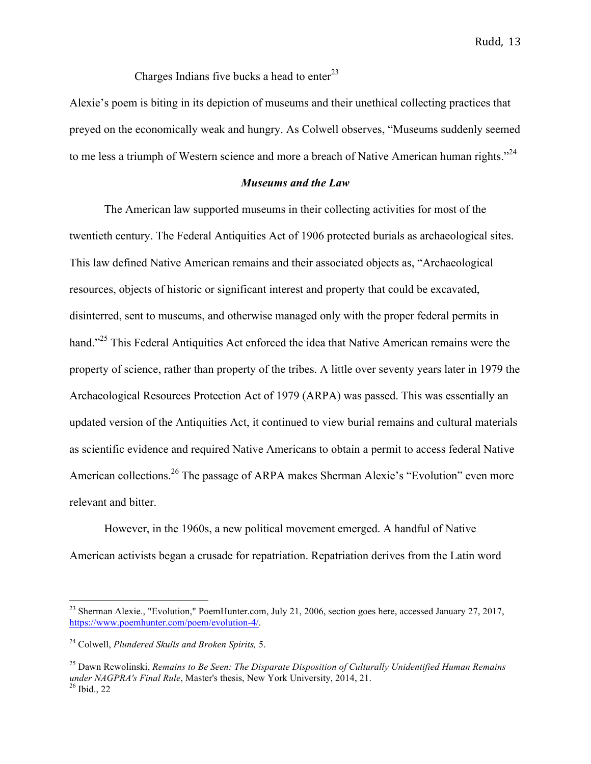Charges Indians five bucks a head to enter $^{23}$ 

Alexie's poem is biting in its depiction of museums and their unethical collecting practices that preyed on the economically weak and hungry. As Colwell observes, "Museums suddenly seemed to me less a triumph of Western science and more a breach of Native American human rights."<sup>24</sup>

## *Museums and the Law*

The American law supported museums in their collecting activities for most of the twentieth century. The Federal Antiquities Act of 1906 protected burials as archaeological sites. This law defined Native American remains and their associated objects as, "Archaeological resources, objects of historic or significant interest and property that could be excavated, disinterred, sent to museums, and otherwise managed only with the proper federal permits in hand."<sup>25</sup> This Federal Antiquities Act enforced the idea that Native American remains were the property of science, rather than property of the tribes. A little over seventy years later in 1979 the Archaeological Resources Protection Act of 1979 (ARPA) was passed. This was essentially an updated version of the Antiquities Act, it continued to view burial remains and cultural materials as scientific evidence and required Native Americans to obtain a permit to access federal Native American collections.<sup>26</sup> The passage of ARPA makes Sherman Alexie's "Evolution" even more relevant and bitter.

However, in the 1960s, a new political movement emerged. A handful of Native American activists began a crusade for repatriation. Repatriation derives from the Latin word

<sup>&</sup>lt;sup>23</sup> Sherman Alexie., "Evolution," PoemHunter.com, July 21, 2006, section goes here, accessed January 27, 2017, https://www.poemhunter.com/poem/evolution-4/.

<sup>24</sup> Colwell, *Plundered Skulls and Broken Spirits,* 5.

<sup>25</sup> Dawn Rewolinski, *Remains to Be Seen: The Disparate Disposition of Culturally Unidentified Human Remains under NAGPRA's Final Rule*, Master's thesis, New York University, 2014, 21.<br><sup>26</sup> Ibid., 22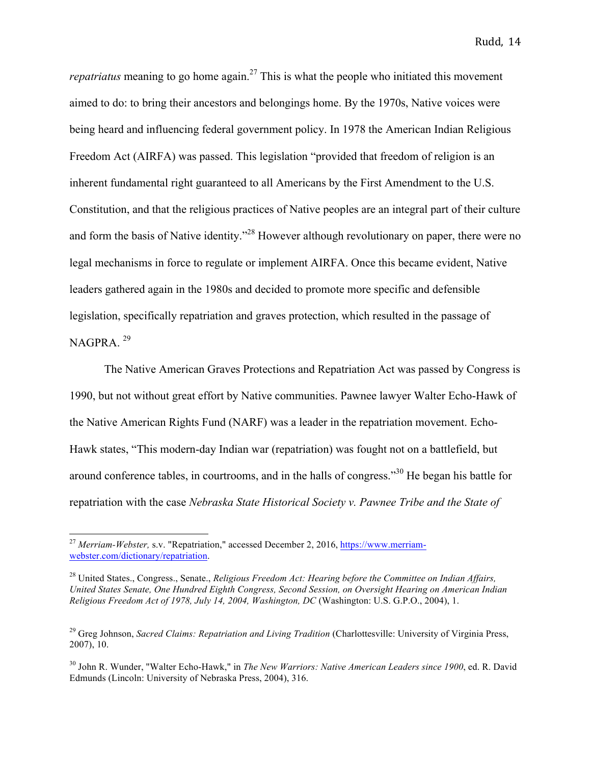*repatriatus* meaning to go home again.<sup>27</sup> This is what the people who initiated this movement aimed to do: to bring their ancestors and belongings home. By the 1970s, Native voices were being heard and influencing federal government policy. In 1978 the American Indian Religious Freedom Act (AIRFA) was passed. This legislation "provided that freedom of religion is an inherent fundamental right guaranteed to all Americans by the First Amendment to the U.S. Constitution, and that the religious practices of Native peoples are an integral part of their culture and form the basis of Native identity."<sup>28</sup> However although revolutionary on paper, there were no legal mechanisms in force to regulate or implement AIRFA. Once this became evident, Native leaders gathered again in the 1980s and decided to promote more specific and defensible legislation, specifically repatriation and graves protection, which resulted in the passage of NAGPRA. <sup>29</sup>

The Native American Graves Protections and Repatriation Act was passed by Congress is 1990, but not without great effort by Native communities. Pawnee lawyer Walter Echo-Hawk of the Native American Rights Fund (NARF) was a leader in the repatriation movement. Echo-Hawk states, "This modern-day Indian war (repatriation) was fought not on a battlefield, but around conference tables, in courtrooms, and in the halls of congress."30 He began his battle for repatriation with the case *Nebraska State Historical Society v. Pawnee Tribe and the State of* 

 <sup>27</sup> *Merriam-Webster,* s.v. "Repatriation," accessed December 2, 2016, https://www.merriamwebster.com/dictionary/repatriation.

<sup>28</sup> United States., Congress., Senate., *Religious Freedom Act: Hearing before the Committee on Indian Affairs, United States Senate, One Hundred Eighth Congress, Second Session, on Oversight Hearing on American Indian Religious Freedom Act of 1978, July 14, 2004, Washington, DC* (Washington: U.S. G.P.O., 2004), 1.

<sup>29</sup> Greg Johnson, *Sacred Claims: Repatriation and Living Tradition* (Charlottesville: University of Virginia Press, 2007), 10.

<sup>30</sup> John R. Wunder, "Walter Echo-Hawk," in *The New Warriors: Native American Leaders since 1900*, ed. R. David Edmunds (Lincoln: University of Nebraska Press, 2004), 316.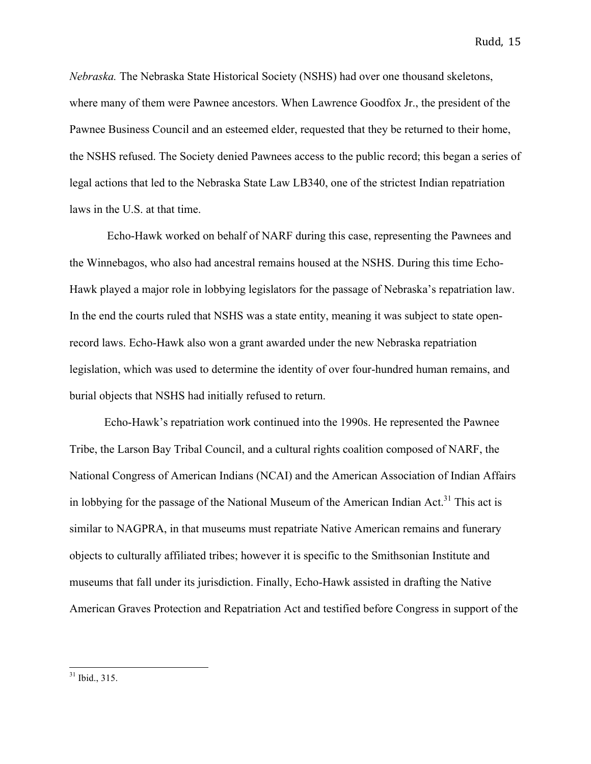*Nebraska.* The Nebraska State Historical Society (NSHS) had over one thousand skeletons, where many of them were Pawnee ancestors. When Lawrence Goodfox Jr., the president of the Pawnee Business Council and an esteemed elder, requested that they be returned to their home, the NSHS refused. The Society denied Pawnees access to the public record; this began a series of legal actions that led to the Nebraska State Law LB340, one of the strictest Indian repatriation laws in the U.S. at that time.

Echo-Hawk worked on behalf of NARF during this case, representing the Pawnees and the Winnebagos, who also had ancestral remains housed at the NSHS. During this time Echo-Hawk played a major role in lobbying legislators for the passage of Nebraska's repatriation law. In the end the courts ruled that NSHS was a state entity, meaning it was subject to state openrecord laws. Echo-Hawk also won a grant awarded under the new Nebraska repatriation legislation, which was used to determine the identity of over four-hundred human remains, and burial objects that NSHS had initially refused to return.

Echo-Hawk's repatriation work continued into the 1990s. He represented the Pawnee Tribe, the Larson Bay Tribal Council, and a cultural rights coalition composed of NARF, the National Congress of American Indians (NCAI) and the American Association of Indian Affairs in lobbying for the passage of the National Museum of the American Indian Act.<sup>31</sup> This act is similar to NAGPRA, in that museums must repatriate Native American remains and funerary objects to culturally affiliated tribes; however it is specific to the Smithsonian Institute and museums that fall under its jurisdiction. Finally, Echo-Hawk assisted in drafting the Native American Graves Protection and Repatriation Act and testified before Congress in support of the

 $31$  Ibid.,  $315$ .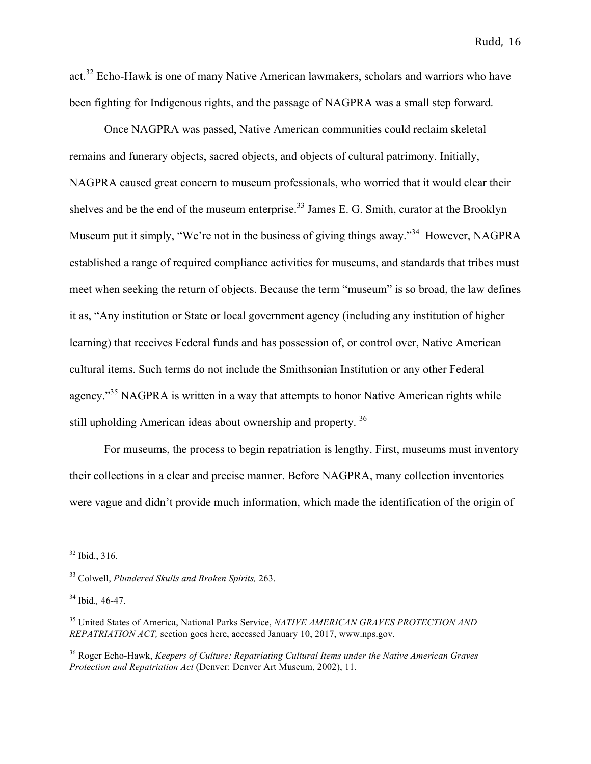act.<sup>32</sup> Echo-Hawk is one of many Native American lawmakers, scholars and warriors who have been fighting for Indigenous rights, and the passage of NAGPRA was a small step forward.

Once NAGPRA was passed, Native American communities could reclaim skeletal remains and funerary objects, sacred objects, and objects of cultural patrimony. Initially, NAGPRA caused great concern to museum professionals, who worried that it would clear their shelves and be the end of the museum enterprise.<sup>33</sup> James E. G. Smith, curator at the Brooklyn Museum put it simply, "We're not in the business of giving things away."<sup>34</sup> However, NAGPRA established a range of required compliance activities for museums, and standards that tribes must meet when seeking the return of objects. Because the term "museum" is so broad, the law defines it as, "Any institution or State or local government agency (including any institution of higher learning) that receives Federal funds and has possession of, or control over, Native American cultural items. Such terms do not include the Smithsonian Institution or any other Federal agency."<sup>35</sup> NAGPRA is written in a way that attempts to honor Native American rights while still upholding American ideas about ownership and property.<sup>36</sup>

For museums, the process to begin repatriation is lengthy. First, museums must inventory their collections in a clear and precise manner. Before NAGPRA, many collection inventories were vague and didn't provide much information, which made the identification of the origin of

 $32$  Ibid., 316.

<sup>33</sup> Colwell, *Plundered Skulls and Broken Spirits,* 263.

<sup>34</sup> Ibid.*,* 46-47.

<sup>35</sup> United States of America, National Parks Service, *NATIVE AMERICAN GRAVES PROTECTION AND REPATRIATION ACT,* section goes here, accessed January 10, 2017, www.nps.gov.

<sup>36</sup> Roger Echo-Hawk, *Keepers of Culture: Repatriating Cultural Items under the Native American Graves Protection and Repatriation Act* (Denver: Denver Art Museum, 2002), 11.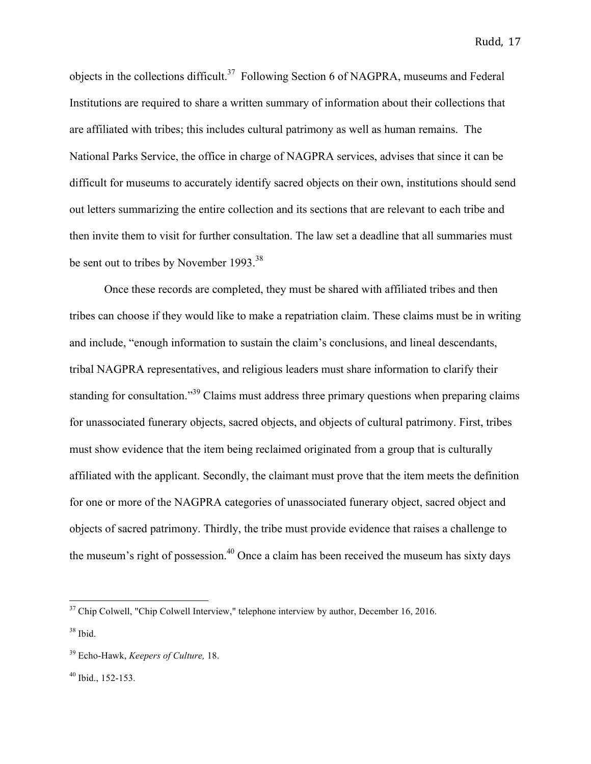objects in the collections difficult.<sup>37</sup> Following Section 6 of NAGPRA, museums and Federal Institutions are required to share a written summary of information about their collections that are affiliated with tribes; this includes cultural patrimony as well as human remains. The National Parks Service, the office in charge of NAGPRA services, advises that since it can be difficult for museums to accurately identify sacred objects on their own, institutions should send out letters summarizing the entire collection and its sections that are relevant to each tribe and then invite them to visit for further consultation. The law set a deadline that all summaries must be sent out to tribes by November 1993.<sup>38</sup>

Once these records are completed, they must be shared with affiliated tribes and then tribes can choose if they would like to make a repatriation claim. These claims must be in writing and include, "enough information to sustain the claim's conclusions, and lineal descendants, tribal NAGPRA representatives, and religious leaders must share information to clarify their standing for consultation."<sup>39</sup> Claims must address three primary questions when preparing claims for unassociated funerary objects, sacred objects, and objects of cultural patrimony. First, tribes must show evidence that the item being reclaimed originated from a group that is culturally affiliated with the applicant. Secondly, the claimant must prove that the item meets the definition for one or more of the NAGPRA categories of unassociated funerary object, sacred object and objects of sacred patrimony. Thirdly, the tribe must provide evidence that raises a challenge to the museum's right of possession.<sup>40</sup> Once a claim has been received the museum has sixty days

 $37$  Chip Colwell, "Chip Colwell Interview," telephone interview by author, December 16, 2016.

 $38$  Ibid.

<sup>39</sup> Echo-Hawk, *Keepers of Culture,* 18.

 $40$  Ibid., 152-153.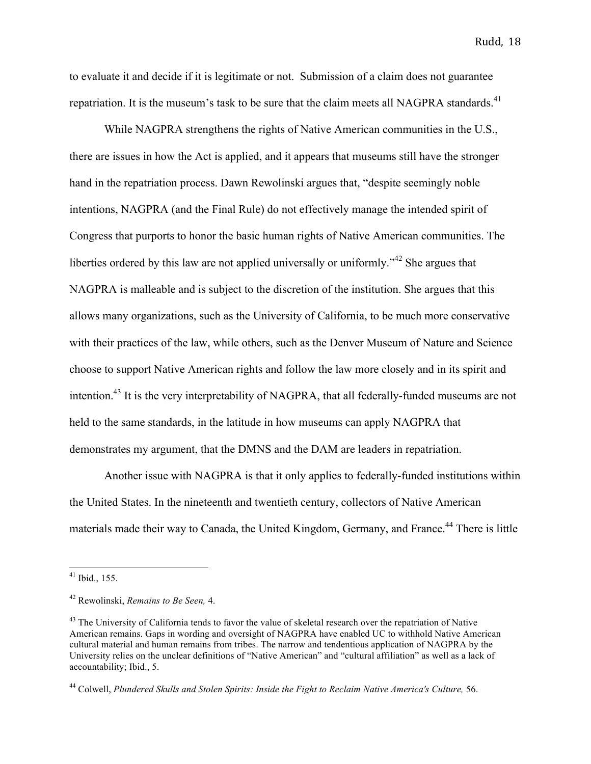to evaluate it and decide if it is legitimate or not. Submission of a claim does not guarantee repatriation. It is the museum's task to be sure that the claim meets all NAGPRA standards.<sup>41</sup>

While NAGPRA strengthens the rights of Native American communities in the U.S., there are issues in how the Act is applied, and it appears that museums still have the stronger hand in the repatriation process. Dawn Rewolinski argues that, "despite seemingly noble intentions, NAGPRA (and the Final Rule) do not effectively manage the intended spirit of Congress that purports to honor the basic human rights of Native American communities. The liberties ordered by this law are not applied universally or uniformly."<sup>42</sup> She argues that NAGPRA is malleable and is subject to the discretion of the institution. She argues that this allows many organizations, such as the University of California, to be much more conservative with their practices of the law, while others, such as the Denver Museum of Nature and Science choose to support Native American rights and follow the law more closely and in its spirit and intention.<sup>43</sup> It is the very interpretability of NAGPRA, that all federally-funded museums are not held to the same standards, in the latitude in how museums can apply NAGPRA that demonstrates my argument, that the DMNS and the DAM are leaders in repatriation.

Another issue with NAGPRA is that it only applies to federally-funded institutions within the United States. In the nineteenth and twentieth century, collectors of Native American materials made their way to Canada, the United Kingdom, Germany, and France.<sup>44</sup> There is little

 <sup>41</sup> Ibid., 155.

<sup>42</sup> Rewolinski, *Remains to Be Seen,* 4.

<sup>&</sup>lt;sup>43</sup> The University of California tends to favor the value of skeletal research over the repatriation of Native American remains. Gaps in wording and oversight of NAGPRA have enabled UC to withhold Native American cultural material and human remains from tribes. The narrow and tendentious application of NAGPRA by the University relies on the unclear definitions of "Native American" and "cultural affiliation" as well as a lack of accountability; Ibid., 5.

<sup>&</sup>lt;sup>44</sup> Colwell, *Plundered Skulls and Stolen Spirits: Inside the Fight to Reclaim Native America's Culture, 56.*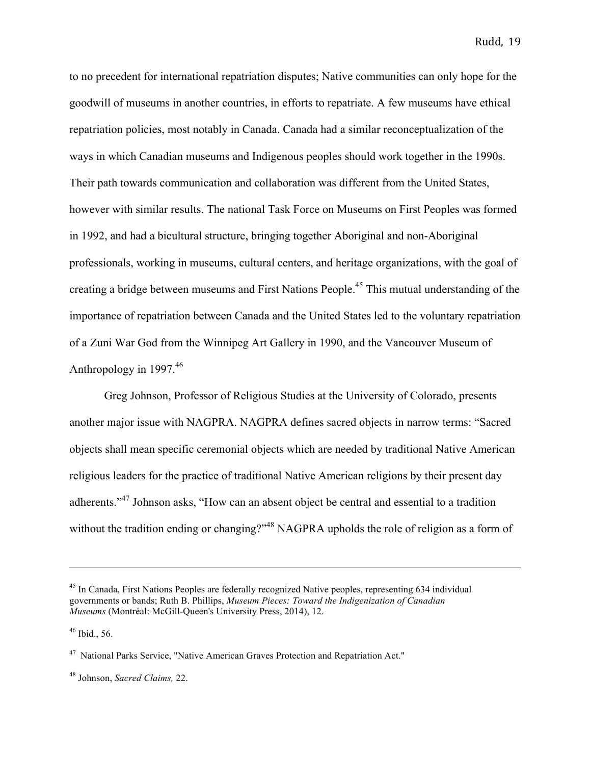to no precedent for international repatriation disputes; Native communities can only hope for the goodwill of museums in another countries, in efforts to repatriate. A few museums have ethical repatriation policies, most notably in Canada. Canada had a similar reconceptualization of the ways in which Canadian museums and Indigenous peoples should work together in the 1990s. Their path towards communication and collaboration was different from the United States, however with similar results. The national Task Force on Museums on First Peoples was formed in 1992, and had a bicultural structure, bringing together Aboriginal and non-Aboriginal professionals, working in museums, cultural centers, and heritage organizations, with the goal of creating a bridge between museums and First Nations People.45 This mutual understanding of the importance of repatriation between Canada and the United States led to the voluntary repatriation of a Zuni War God from the Winnipeg Art Gallery in 1990, and the Vancouver Museum of Anthropology in  $1997<sup>46</sup>$ 

Greg Johnson, Professor of Religious Studies at the University of Colorado, presents another major issue with NAGPRA. NAGPRA defines sacred objects in narrow terms: "Sacred objects shall mean specific ceremonial objects which are needed by traditional Native American religious leaders for the practice of traditional Native American religions by their present day adherents."<sup>47</sup> Johnson asks, "How can an absent object be central and essential to a tradition without the tradition ending or changing?"<sup>48</sup> NAGPRA upholds the role of religion as a form of

<u> 1989 - Andrea San Andrea San Andrea San Andrea San Andrea San Andrea San Andrea San Andrea San Andrea San An</u>

<sup>&</sup>lt;sup>45</sup> In Canada, First Nations Peoples are federally recognized Native peoples, representing 634 individual governments or bands; Ruth B. Phillips, *Museum Pieces: Toward the Indigenization of Canadian Museums* (Montréal: McGill-Queen's University Press, 2014), 12.

 $46$  Ibid., 56.

<sup>&</sup>lt;sup>47</sup> National Parks Service, "Native American Graves Protection and Repatriation Act."

<sup>48</sup> Johnson, *Sacred Claims,* 22.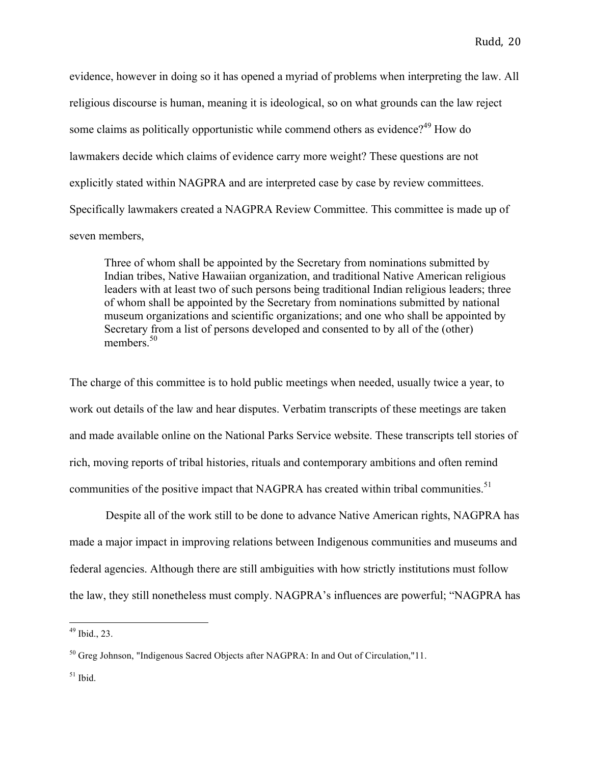evidence, however in doing so it has opened a myriad of problems when interpreting the law. All religious discourse is human, meaning it is ideological, so on what grounds can the law reject some claims as politically opportunistic while commend others as evidence?<sup>49</sup> How do lawmakers decide which claims of evidence carry more weight? These questions are not explicitly stated within NAGPRA and are interpreted case by case by review committees. Specifically lawmakers created a NAGPRA Review Committee. This committee is made up of seven members,

Three of whom shall be appointed by the Secretary from nominations submitted by Indian tribes, Native Hawaiian organization, and traditional Native American religious leaders with at least two of such persons being traditional Indian religious leaders; three of whom shall be appointed by the Secretary from nominations submitted by national museum organizations and scientific organizations; and one who shall be appointed by Secretary from a list of persons developed and consented to by all of the (other) members.<sup>50</sup>

The charge of this committee is to hold public meetings when needed, usually twice a year, to work out details of the law and hear disputes. Verbatim transcripts of these meetings are taken and made available online on the National Parks Service website. These transcripts tell stories of rich, moving reports of tribal histories, rituals and contemporary ambitions and often remind communities of the positive impact that NAGPRA has created within tribal communities.<sup>51</sup>

Despite all of the work still to be done to advance Native American rights, NAGPRA has made a major impact in improving relations between Indigenous communities and museums and federal agencies. Although there are still ambiguities with how strictly institutions must follow the law, they still nonetheless must comply. NAGPRA's influences are powerful; "NAGPRA has

 $49$  Ibid., 23.

<sup>&</sup>lt;sup>50</sup> Greg Johnson, "Indigenous Sacred Objects after NAGPRA: In and Out of Circulation,"11.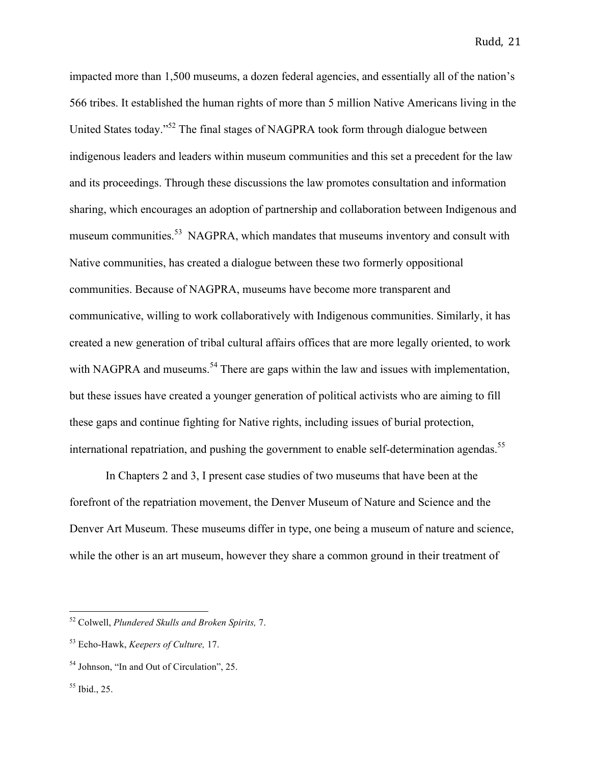impacted more than 1,500 museums, a dozen federal agencies, and essentially all of the nation's 566 tribes. It established the human rights of more than 5 million Native Americans living in the United States today."52 The final stages of NAGPRA took form through dialogue between indigenous leaders and leaders within museum communities and this set a precedent for the law and its proceedings. Through these discussions the law promotes consultation and information sharing, which encourages an adoption of partnership and collaboration between Indigenous and museum communities.<sup>53</sup> NAGPRA, which mandates that museums inventory and consult with Native communities, has created a dialogue between these two formerly oppositional communities. Because of NAGPRA, museums have become more transparent and communicative, willing to work collaboratively with Indigenous communities. Similarly, it has created a new generation of tribal cultural affairs offices that are more legally oriented, to work with NAGPRA and museums.<sup>54</sup> There are gaps within the law and issues with implementation, but these issues have created a younger generation of political activists who are aiming to fill these gaps and continue fighting for Native rights, including issues of burial protection, international repatriation, and pushing the government to enable self-determination agendas.<sup>55</sup>

In Chapters 2 and 3, I present case studies of two museums that have been at the forefront of the repatriation movement, the Denver Museum of Nature and Science and the Denver Art Museum. These museums differ in type, one being a museum of nature and science, while the other is an art museum, however they share a common ground in their treatment of

<sup>55</sup> Ibid., 25.

 <sup>52</sup> Colwell, *Plundered Skulls and Broken Spirits,* 7.

<sup>53</sup> Echo-Hawk, *Keepers of Culture,* 17.

<sup>54</sup> Johnson, "In and Out of Circulation", 25.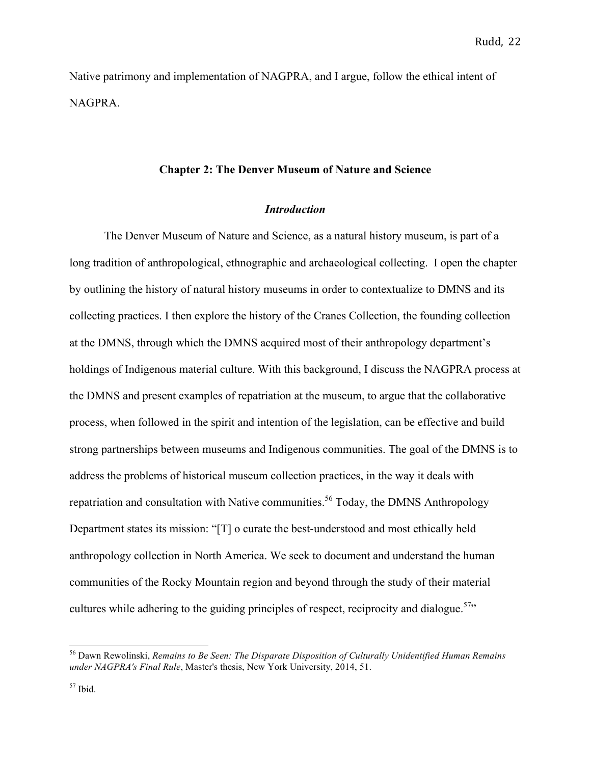Native patrimony and implementation of NAGPRA, and I argue, follow the ethical intent of NAGPRA.

#### **Chapter 2: The Denver Museum of Nature and Science**

# *Introduction*

The Denver Museum of Nature and Science, as a natural history museum, is part of a long tradition of anthropological, ethnographic and archaeological collecting. I open the chapter by outlining the history of natural history museums in order to contextualize to DMNS and its collecting practices. I then explore the history of the Cranes Collection, the founding collection at the DMNS, through which the DMNS acquired most of their anthropology department's holdings of Indigenous material culture. With this background, I discuss the NAGPRA process at the DMNS and present examples of repatriation at the museum, to argue that the collaborative process, when followed in the spirit and intention of the legislation, can be effective and build strong partnerships between museums and Indigenous communities. The goal of the DMNS is to address the problems of historical museum collection practices, in the way it deals with repatriation and consultation with Native communities.<sup>56</sup> Today, the DMNS Anthropology Department states its mission: "[T] o curate the best-understood and most ethically held anthropology collection in North America. We seek to document and understand the human communities of the Rocky Mountain region and beyond through the study of their material cultures while adhering to the guiding principles of respect, reciprocity and dialogue.<sup>57</sup>

 <sup>56</sup> Dawn Rewolinski, *Remains to Be Seen: The Disparate Disposition of Culturally Unidentified Human Remains under NAGPRA's Final Rule*, Master's thesis, New York University, 2014, 51.

 $57$  Ibid.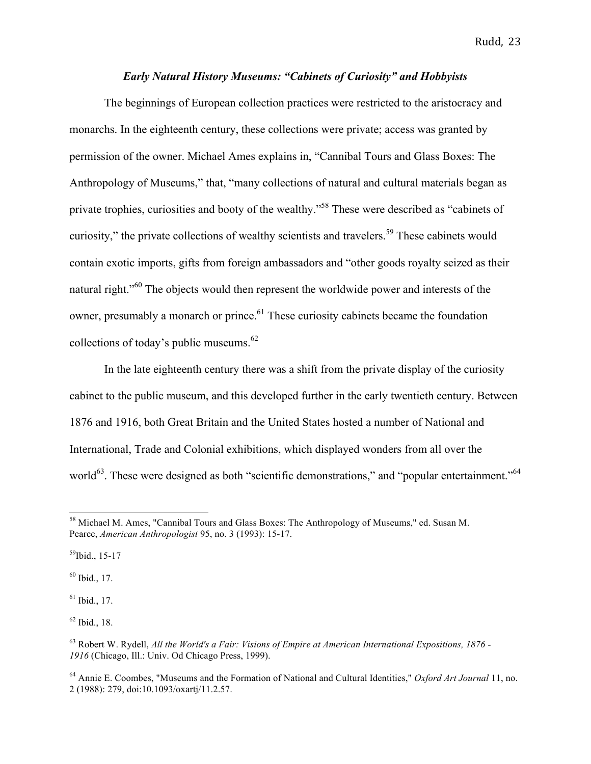# *Early Natural History Museums: "Cabinets of Curiosity" and Hobbyists*

The beginnings of European collection practices were restricted to the aristocracy and monarchs. In the eighteenth century, these collections were private; access was granted by permission of the owner. Michael Ames explains in, "Cannibal Tours and Glass Boxes: The Anthropology of Museums," that, "many collections of natural and cultural materials began as private trophies, curiosities and booty of the wealthy."58 These were described as "cabinets of curiosity," the private collections of wealthy scientists and travelers.<sup>59</sup> These cabinets would contain exotic imports, gifts from foreign ambassadors and "other goods royalty seized as their natural right."<sup>60</sup> The objects would then represent the worldwide power and interests of the owner, presumably a monarch or prince.<sup>61</sup> These curiosity cabinets became the foundation collections of today's public museums.<sup>62</sup>

In the late eighteenth century there was a shift from the private display of the curiosity cabinet to the public museum, and this developed further in the early twentieth century. Between 1876 and 1916, both Great Britain and the United States hosted a number of National and International, Trade and Colonial exhibitions, which displayed wonders from all over the world<sup>63</sup>. These were designed as both "scientific demonstrations," and "popular entertainment."<sup>64</sup>

 $^{59}$ Ibid., 15-17

<sup>60</sup> Ibid., 17.

 $61$  Ibid., 17.

 $62$  Ibid., 18.

 <sup>58</sup> Michael M. Ames, "Cannibal Tours and Glass Boxes: The Anthropology of Museums," ed. Susan M. Pearce, *American Anthropologist* 95, no. 3 (1993): 15-17.

<sup>63</sup> Robert W. Rydell, *All the World's a Fair: Visions of Empire at American International Expositions, 1876 - 1916* (Chicago, Ill.: Univ. Od Chicago Press, 1999).

<sup>64</sup> Annie E. Coombes, "Museums and the Formation of National and Cultural Identities," *Oxford Art Journal* 11, no. 2 (1988): 279, doi:10.1093/oxartj/11.2.57.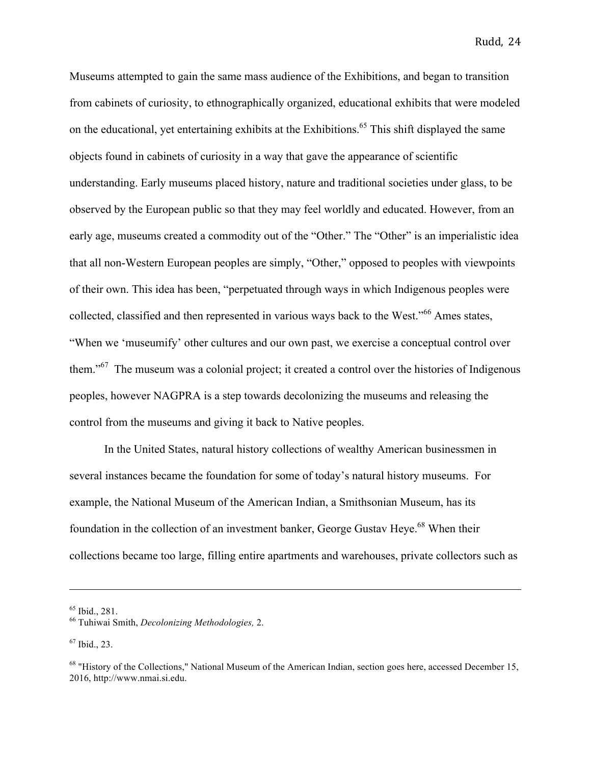Museums attempted to gain the same mass audience of the Exhibitions, and began to transition from cabinets of curiosity, to ethnographically organized, educational exhibits that were modeled on the educational, yet entertaining exhibits at the Exhibitions.<sup>65</sup> This shift displayed the same objects found in cabinets of curiosity in a way that gave the appearance of scientific understanding. Early museums placed history, nature and traditional societies under glass, to be observed by the European public so that they may feel worldly and educated. However, from an early age, museums created a commodity out of the "Other." The "Other" is an imperialistic idea that all non-Western European peoples are simply, "Other," opposed to peoples with viewpoints of their own. This idea has been, "perpetuated through ways in which Indigenous peoples were collected, classified and then represented in various ways back to the West."<sup>66</sup> Ames states, "When we 'museumify' other cultures and our own past, we exercise a conceptual control over them."<sup>67</sup> The museum was a colonial project; it created a control over the histories of Indigenous peoples, however NAGPRA is a step towards decolonizing the museums and releasing the control from the museums and giving it back to Native peoples.

In the United States, natural history collections of wealthy American businessmen in several instances became the foundation for some of today's natural history museums. For example, the National Museum of the American Indian, a Smithsonian Museum, has its foundation in the collection of an investment banker, George Gustav Heye.<sup>68</sup> When their collections became too large, filling entire apartments and warehouses, private collectors such as

<u> 1989 - Andrea San Andrea San Andrea San Andrea San Andrea San Andrea San Andrea San Andrea San Andrea San An</u>

<sup>65</sup> Ibid., 281. 66 Tuhiwai Smith, *Decolonizing Methodologies,* 2.

 $67$  Ibid., 23.

<sup>&</sup>lt;sup>68</sup> "History of the Collections," National Museum of the American Indian, section goes here, accessed December 15, 2016, http://www.nmai.si.edu.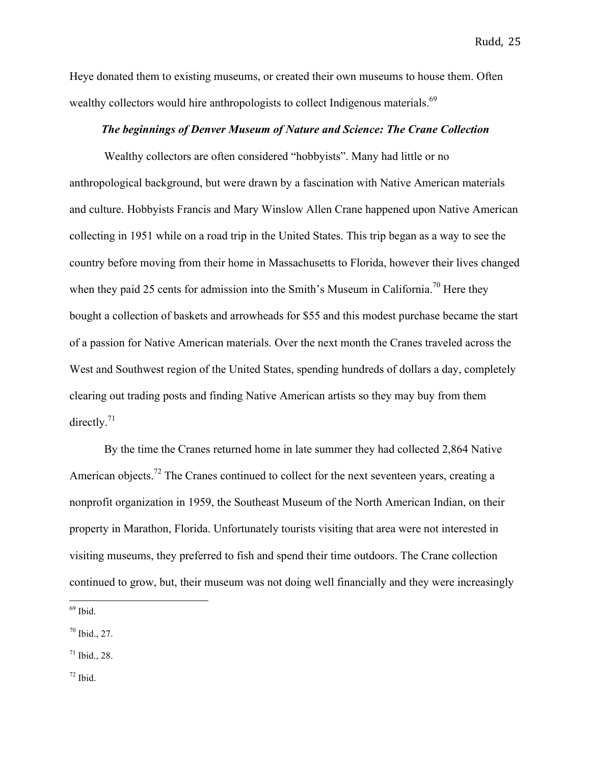Heye donated them to existing museums, or created their own museums to house them. Often wealthy collectors would hire anthropologists to collect Indigenous materials.<sup>69</sup>

# *The beginnings of Denver Museum of Nature and Science: The Crane Collection*

Wealthy collectors are often considered "hobbyists". Many had little or no anthropological background, but were drawn by a fascination with Native American materials and culture. Hobbyists Francis and Mary Winslow Allen Crane happened upon Native American collecting in 1951 while on a road trip in the United States. This trip began as a way to see the country before moving from their home in Massachusetts to Florida, however their lives changed when they paid 25 cents for admission into the Smith's Museum in California.<sup>70</sup> Here they bought a collection of baskets and arrowheads for \$55 and this modest purchase became the start of a passion for Native American materials. Over the next month the Cranes traveled across the West and Southwest region of the United States, spending hundreds of dollars a day, completely clearing out trading posts and finding Native American artists so they may buy from them directly. $71$ 

By the time the Cranes returned home in late summer they had collected 2,864 Native American objects.<sup>72</sup> The Cranes continued to collect for the next seventeen years, creating a nonprofit organization in 1959, the Southeast Museum of the North American Indian, on their property in Marathon, Florida. Unfortunately tourists visiting that area were not interested in visiting museums, they preferred to fish and spend their time outdoors. The Crane collection continued to grow, but, their museum was not doing well financially and they were increasingly

 $\frac{69}{1}$  Ibid.

<sup>70</sup> Ibid., 27.

 $71$  Ibid., 28.

 $72$  Ibid.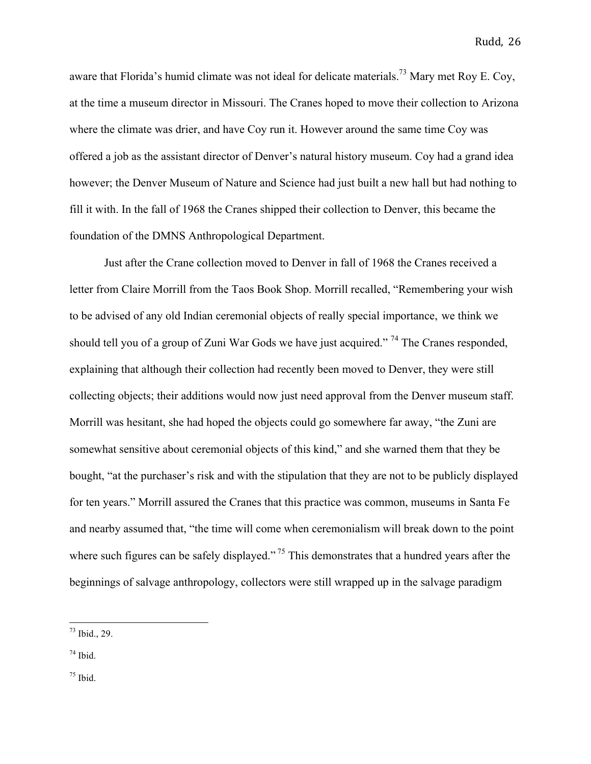aware that Florida's humid climate was not ideal for delicate materials.<sup>73</sup> Mary met Roy E. Coy, at the time a museum director in Missouri. The Cranes hoped to move their collection to Arizona where the climate was drier, and have Coy run it. However around the same time Coy was offered a job as the assistant director of Denver's natural history museum. Coy had a grand idea however; the Denver Museum of Nature and Science had just built a new hall but had nothing to fill it with. In the fall of 1968 the Cranes shipped their collection to Denver, this became the foundation of the DMNS Anthropological Department.

Just after the Crane collection moved to Denver in fall of 1968 the Cranes received a letter from Claire Morrill from the Taos Book Shop. Morrill recalled, "Remembering your wish to be advised of any old Indian ceremonial objects of really special importance, we think we should tell you of a group of Zuni War Gods we have just acquired."<sup>74</sup> The Cranes responded, explaining that although their collection had recently been moved to Denver, they were still collecting objects; their additions would now just need approval from the Denver museum staff. Morrill was hesitant, she had hoped the objects could go somewhere far away, "the Zuni are somewhat sensitive about ceremonial objects of this kind," and she warned them that they be bought, "at the purchaser's risk and with the stipulation that they are not to be publicly displayed for ten years." Morrill assured the Cranes that this practice was common, museums in Santa Fe and nearby assumed that, "the time will come when ceremonialism will break down to the point where such figures can be safely displayed."<sup>75</sup> This demonstrates that a hundred years after the beginnings of salvage anthropology, collectors were still wrapped up in the salvage paradigm

 $75$  Ibid.

 $73$  Ibid., 29.

<sup>74</sup> Ibid.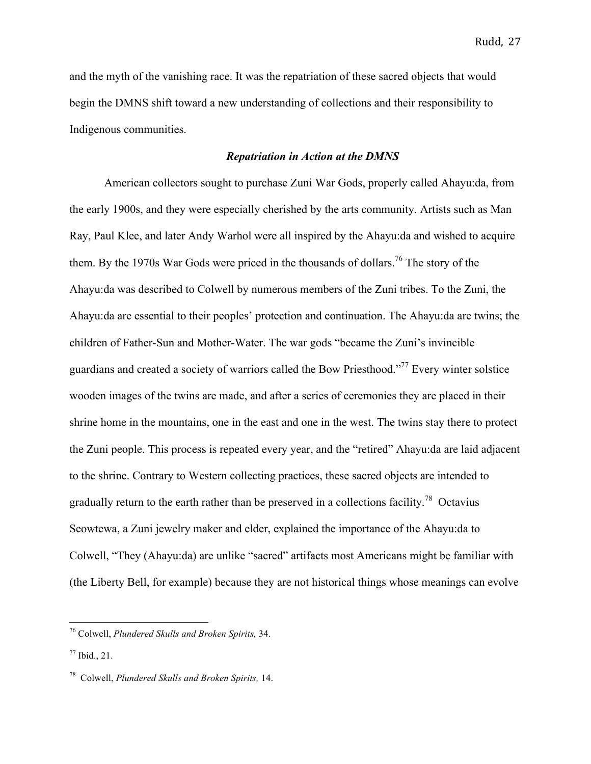and the myth of the vanishing race. It was the repatriation of these sacred objects that would begin the DMNS shift toward a new understanding of collections and their responsibility to Indigenous communities.

## *Repatriation in Action at the DMNS*

American collectors sought to purchase Zuni War Gods, properly called Ahayu:da, from the early 1900s, and they were especially cherished by the arts community. Artists such as Man Ray, Paul Klee, and later Andy Warhol were all inspired by the Ahayu:da and wished to acquire them. By the 1970s War Gods were priced in the thousands of dollars.<sup>76</sup> The story of the Ahayu:da was described to Colwell by numerous members of the Zuni tribes. To the Zuni, the Ahayu:da are essential to their peoples' protection and continuation. The Ahayu:da are twins; the children of Father-Sun and Mother-Water. The war gods "became the Zuni's invincible guardians and created a society of warriors called the Bow Priesthood."77 Every winter solstice wooden images of the twins are made, and after a series of ceremonies they are placed in their shrine home in the mountains, one in the east and one in the west. The twins stay there to protect the Zuni people. This process is repeated every year, and the "retired" Ahayu:da are laid adjacent to the shrine. Contrary to Western collecting practices, these sacred objects are intended to gradually return to the earth rather than be preserved in a collections facility.<sup>78</sup> Octavius Seowtewa, a Zuni jewelry maker and elder, explained the importance of the Ahayu:da to Colwell, "They (Ahayu:da) are unlike "sacred" artifacts most Americans might be familiar with (the Liberty Bell, for example) because they are not historical things whose meanings can evolve

 <sup>76</sup> Colwell, *Plundered Skulls and Broken Spirits,* 34.

 $^{77}$  Ibid., 21.

<sup>78</sup> Colwell, *Plundered Skulls and Broken Spirits,* 14.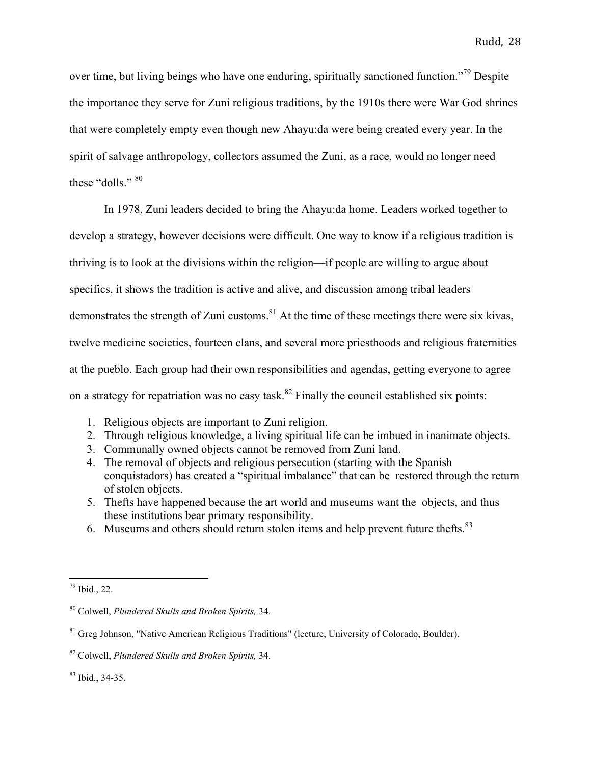over time, but living beings who have one enduring, spiritually sanctioned function."<sup>79</sup> Despite the importance they serve for Zuni religious traditions, by the 1910s there were War God shrines that were completely empty even though new Ahayu:da were being created every year. In the spirit of salvage anthropology, collectors assumed the Zuni, as a race, would no longer need these "dolls." 80

In 1978, Zuni leaders decided to bring the Ahayu:da home. Leaders worked together to develop a strategy, however decisions were difficult. One way to know if a religious tradition is thriving is to look at the divisions within the religion—if people are willing to argue about specifics, it shows the tradition is active and alive, and discussion among tribal leaders demonstrates the strength of Zuni customs.<sup>81</sup> At the time of these meetings there were six kivas, twelve medicine societies, fourteen clans, and several more priesthoods and religious fraternities at the pueblo. Each group had their own responsibilities and agendas, getting everyone to agree on a strategy for repatriation was no easy task.<sup>82</sup> Finally the council established six points:

- 1. Religious objects are important to Zuni religion.
- 2. Through religious knowledge, a living spiritual life can be imbued in inanimate objects.
- 3. Communally owned objects cannot be removed from Zuni land.
- 4. The removal of objects and religious persecution (starting with the Spanish conquistadors) has created a "spiritual imbalance" that can be restored through the return of stolen objects.
- 5. Thefts have happened because the art world and museums want the objects, and thus these institutions bear primary responsibility.
- 6. Museums and others should return stolen items and help prevent future thefts.83

 <sup>79</sup> Ibid., 22.

<sup>80</sup> Colwell, *Plundered Skulls and Broken Spirits,* 34.

<sup>&</sup>lt;sup>81</sup> Greg Johnson, "Native American Religious Traditions" (lecture, University of Colorado, Boulder).

<sup>82</sup> Colwell, *Plundered Skulls and Broken Spirits,* 34.

 $83$  Ibid., 34-35.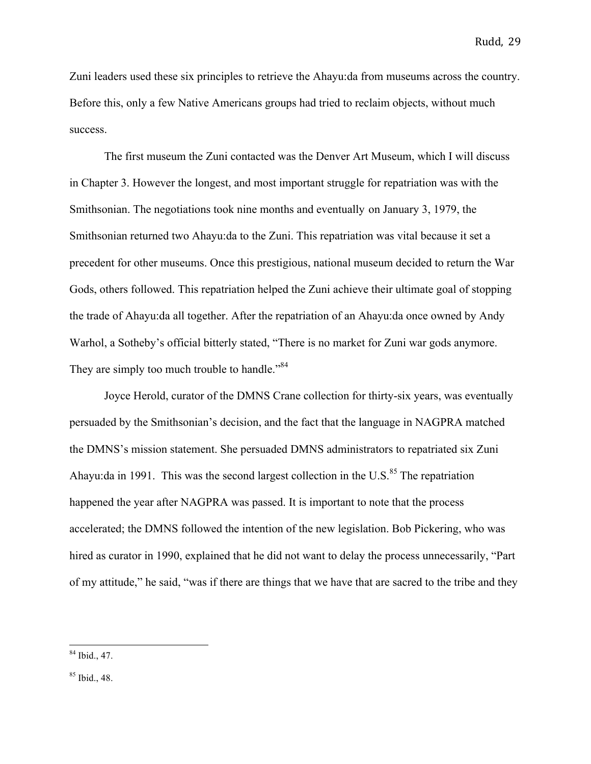Zuni leaders used these six principles to retrieve the Ahayu:da from museums across the country. Before this, only a few Native Americans groups had tried to reclaim objects, without much success.

The first museum the Zuni contacted was the Denver Art Museum, which I will discuss in Chapter 3. However the longest, and most important struggle for repatriation was with the Smithsonian. The negotiations took nine months and eventually on January 3, 1979, the Smithsonian returned two Ahayu:da to the Zuni. This repatriation was vital because it set a precedent for other museums. Once this prestigious, national museum decided to return the War Gods, others followed. This repatriation helped the Zuni achieve their ultimate goal of stopping the trade of Ahayu:da all together. After the repatriation of an Ahayu:da once owned by Andy Warhol, a Sotheby's official bitterly stated, "There is no market for Zuni war gods anymore. They are simply too much trouble to handle."<sup>84</sup>

Joyce Herold, curator of the DMNS Crane collection for thirty-six years, was eventually persuaded by the Smithsonian's decision, and the fact that the language in NAGPRA matched the DMNS's mission statement. She persuaded DMNS administrators to repatriated six Zuni Ahayu:da in 1991. This was the second largest collection in the U.S. $85$  The repatriation happened the year after NAGPRA was passed. It is important to note that the process accelerated; the DMNS followed the intention of the new legislation. Bob Pickering, who was hired as curator in 1990, explained that he did not want to delay the process unnecessarily, "Part of my attitude," he said, "was if there are things that we have that are sacred to the tribe and they

 <sup>84</sup> Ibid., 47.

 $85$  Ibid., 48.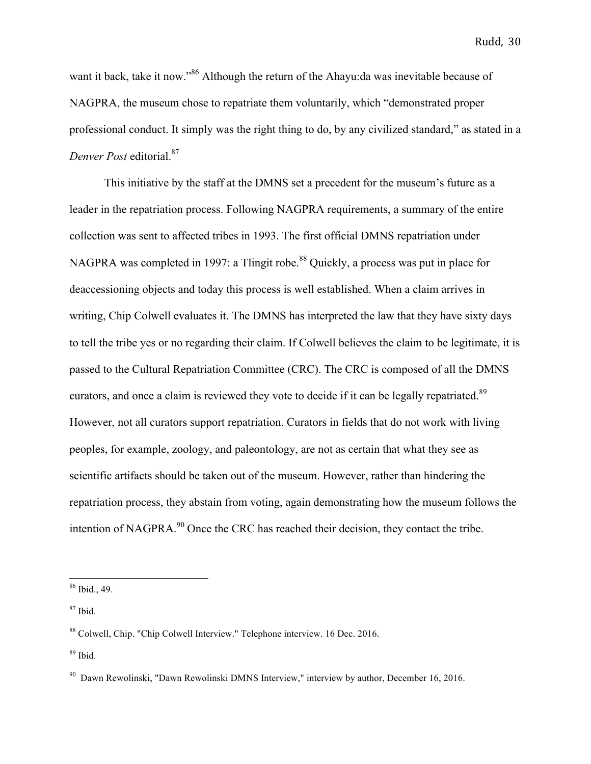want it back, take it now."<sup>86</sup> Although the return of the Ahayu:da was inevitable because of NAGPRA, the museum chose to repatriate them voluntarily, which "demonstrated proper professional conduct. It simply was the right thing to do, by any civilized standard," as stated in a *Denver Post* editorial.87

This initiative by the staff at the DMNS set a precedent for the museum's future as a leader in the repatriation process. Following NAGPRA requirements, a summary of the entire collection was sent to affected tribes in 1993. The first official DMNS repatriation under NAGPRA was completed in 1997: a Tlingit robe.<sup>88</sup> Quickly, a process was put in place for deaccessioning objects and today this process is well established. When a claim arrives in writing, Chip Colwell evaluates it. The DMNS has interpreted the law that they have sixty days to tell the tribe yes or no regarding their claim. If Colwell believes the claim to be legitimate, it is passed to the Cultural Repatriation Committee (CRC). The CRC is composed of all the DMNS curators, and once a claim is reviewed they vote to decide if it can be legally repatriated.<sup>89</sup> However, not all curators support repatriation. Curators in fields that do not work with living peoples, for example, zoology, and paleontology, are not as certain that what they see as scientific artifacts should be taken out of the museum. However, rather than hindering the repatriation process, they abstain from voting, again demonstrating how the museum follows the intention of NAGPRA. $^{90}$  Once the CRC has reached their decision, they contact the tribe.

 <sup>86</sup> Ibid., 49.

 $87$  Ibid.

<sup>88</sup> Colwell, Chip. "Chip Colwell Interview." Telephone interview. 16 Dec. 2016.

 $89$  Ibid.

<sup>90</sup> Dawn Rewolinski, "Dawn Rewolinski DMNS Interview," interview by author, December 16, 2016.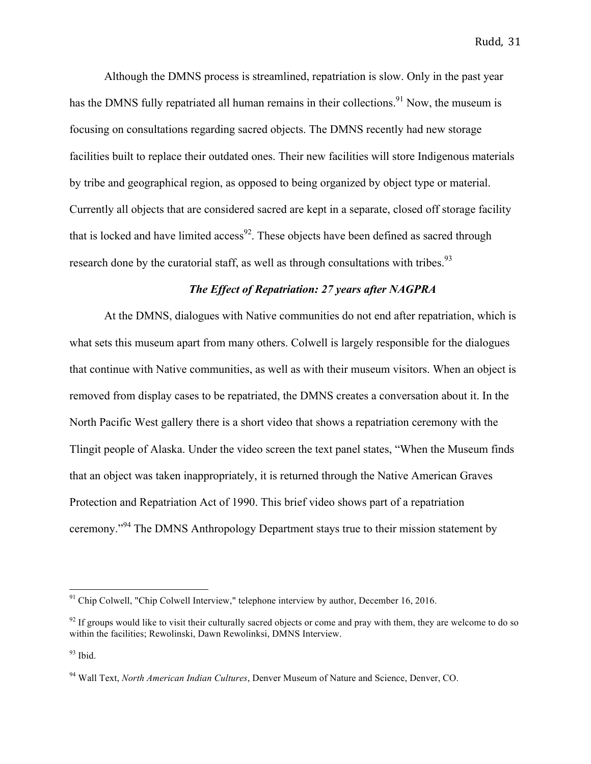Although the DMNS process is streamlined, repatriation is slow. Only in the past year has the DMNS fully repatriated all human remains in their collections.<sup>91</sup> Now, the museum is focusing on consultations regarding sacred objects. The DMNS recently had new storage facilities built to replace their outdated ones. Their new facilities will store Indigenous materials by tribe and geographical region, as opposed to being organized by object type or material. Currently all objects that are considered sacred are kept in a separate, closed off storage facility that is locked and have limited access<sup>92</sup>. These objects have been defined as sacred through research done by the curatorial staff, as well as through consultations with tribes.<sup>93</sup>

# *The Effect of Repatriation: 27 years after NAGPRA*

At the DMNS, dialogues with Native communities do not end after repatriation, which is what sets this museum apart from many others. Colwell is largely responsible for the dialogues that continue with Native communities, as well as with their museum visitors. When an object is removed from display cases to be repatriated, the DMNS creates a conversation about it. In the North Pacific West gallery there is a short video that shows a repatriation ceremony with the Tlingit people of Alaska. Under the video screen the text panel states, "When the Museum finds that an object was taken inappropriately, it is returned through the Native American Graves Protection and Repatriation Act of 1990. This brief video shows part of a repatriation ceremony."<sup>94</sup> The DMNS Anthropology Department stays true to their mission statement by

 $91$  Chip Colwell, "Chip Colwell Interview," telephone interview by author, December 16, 2016.

 $92$  If groups would like to visit their culturally sacred objects or come and pray with them, they are welcome to do so within the facilities; Rewolinski, Dawn Rewolinksi, DMNS Interview.

<sup>93</sup> Ibid.

<sup>94</sup> Wall Text, *North American Indian Cultures*, Denver Museum of Nature and Science, Denver, CO.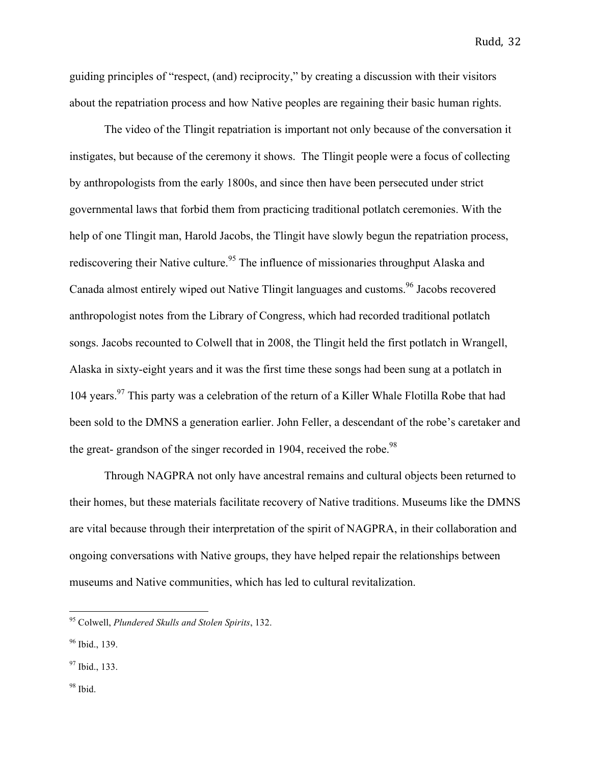guiding principles of "respect, (and) reciprocity," by creating a discussion with their visitors about the repatriation process and how Native peoples are regaining their basic human rights.

The video of the Tlingit repatriation is important not only because of the conversation it instigates, but because of the ceremony it shows. The Tlingit people were a focus of collecting by anthropologists from the early 1800s, and since then have been persecuted under strict governmental laws that forbid them from practicing traditional potlatch ceremonies. With the help of one Tlingit man, Harold Jacobs, the Tlingit have slowly begun the repatriation process, rediscovering their Native culture.<sup>95</sup> The influence of missionaries throughput Alaska and Canada almost entirely wiped out Native Tlingit languages and customs.<sup>96</sup> Jacobs recovered anthropologist notes from the Library of Congress, which had recorded traditional potlatch songs. Jacobs recounted to Colwell that in 2008, the Tlingit held the first potlatch in Wrangell, Alaska in sixty-eight years and it was the first time these songs had been sung at a potlatch in 104 years.<sup>97</sup> This party was a celebration of the return of a Killer Whale Flotilla Robe that had been sold to the DMNS a generation earlier. John Feller, a descendant of the robe's caretaker and the great- grandson of the singer recorded in 1904, received the robe.<sup>98</sup>

Through NAGPRA not only have ancestral remains and cultural objects been returned to their homes, but these materials facilitate recovery of Native traditions. Museums like the DMNS are vital because through their interpretation of the spirit of NAGPRA, in their collaboration and ongoing conversations with Native groups, they have helped repair the relationships between museums and Native communities, which has led to cultural revitalization.

 <sup>95</sup> Colwell, *Plundered Skulls and Stolen Spirits*, 132.

<sup>&</sup>lt;sup>96</sup> Ibid., 139.

<sup>&</sup>lt;sup>97</sup> Ibid., 133.

 $98$  Ibid.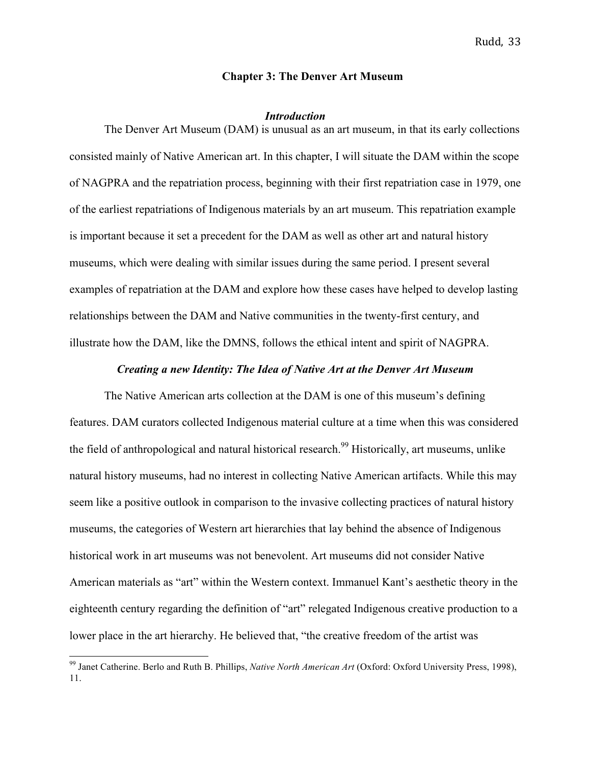## **Chapter 3: The Denver Art Museum**

#### *Introduction*

The Denver Art Museum (DAM) is unusual as an art museum, in that its early collections consisted mainly of Native American art. In this chapter, I will situate the DAM within the scope of NAGPRA and the repatriation process, beginning with their first repatriation case in 1979, one of the earliest repatriations of Indigenous materials by an art museum. This repatriation example is important because it set a precedent for the DAM as well as other art and natural history museums, which were dealing with similar issues during the same period. I present several examples of repatriation at the DAM and explore how these cases have helped to develop lasting relationships between the DAM and Native communities in the twenty-first century, and illustrate how the DAM, like the DMNS, follows the ethical intent and spirit of NAGPRA.

## *Creating a new Identity: The Idea of Native Art at the Denver Art Museum*

The Native American arts collection at the DAM is one of this museum's defining features. DAM curators collected Indigenous material culture at a time when this was considered the field of anthropological and natural historical research.<sup>99</sup> Historically, art museums, unlike natural history museums, had no interest in collecting Native American artifacts. While this may seem like a positive outlook in comparison to the invasive collecting practices of natural history museums, the categories of Western art hierarchies that lay behind the absence of Indigenous historical work in art museums was not benevolent. Art museums did not consider Native American materials as "art" within the Western context. Immanuel Kant's aesthetic theory in the eighteenth century regarding the definition of "art" relegated Indigenous creative production to a lower place in the art hierarchy. He believed that, "the creative freedom of the artist was

 <sup>99</sup> Janet Catherine. Berlo and Ruth B. Phillips, *Native North American Art* (Oxford: Oxford University Press, 1998), 11.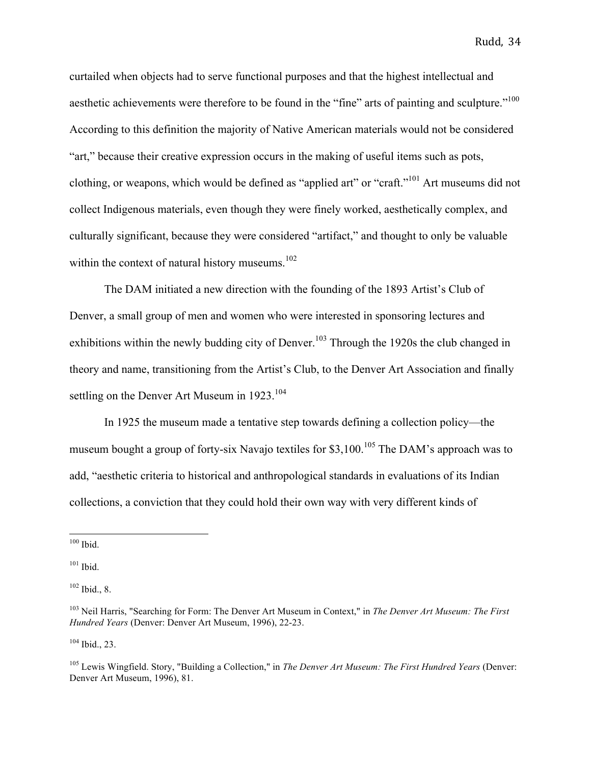curtailed when objects had to serve functional purposes and that the highest intellectual and aesthetic achievements were therefore to be found in the "fine" arts of painting and sculpture."<sup>100</sup> According to this definition the majority of Native American materials would not be considered "art," because their creative expression occurs in the making of useful items such as pots, clothing, or weapons, which would be defined as "applied art" or "craft."101 Art museums did not collect Indigenous materials, even though they were finely worked, aesthetically complex, and culturally significant, because they were considered "artifact," and thought to only be valuable within the context of natural history museums.<sup>102</sup>

The DAM initiated a new direction with the founding of the 1893 Artist's Club of Denver, a small group of men and women who were interested in sponsoring lectures and exhibitions within the newly budding city of Denver.<sup>103</sup> Through the 1920s the club changed in theory and name, transitioning from the Artist's Club, to the Denver Art Association and finally settling on the Denver Art Museum in 1923.<sup>104</sup>

In 1925 the museum made a tentative step towards defining a collection policy—the museum bought a group of forty-six Navajo textiles for \$3,100.<sup>105</sup> The DAM's approach was to add, "aesthetic criteria to historical and anthropological standards in evaluations of its Indian collections, a conviction that they could hold their own way with very different kinds of

 $104$  Ibid., 23.

 $100$  Ibid.

<sup>101</sup> Ibid.

 $102$  Ibid., 8.

<sup>103</sup> Neil Harris, "Searching for Form: The Denver Art Museum in Context," in *The Denver Art Museum: The First Hundred Years* (Denver: Denver Art Museum, 1996), 22-23.

<sup>105</sup> Lewis Wingfield. Story, "Building a Collection," in *The Denver Art Museum: The First Hundred Years* (Denver: Denver Art Museum, 1996), 81.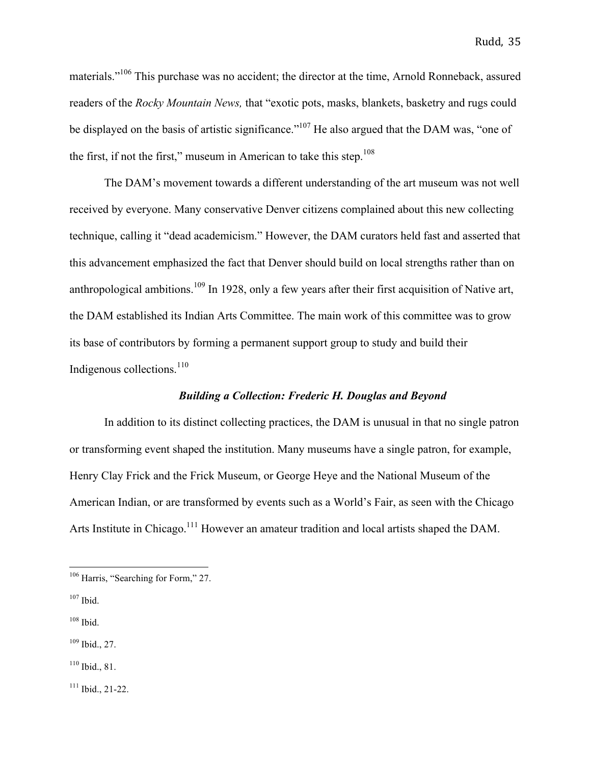materials."<sup>106</sup> This purchase was no accident; the director at the time, Arnold Ronneback, assured readers of the *Rocky Mountain News,* that "exotic pots, masks, blankets, basketry and rugs could be displayed on the basis of artistic significance."<sup>107</sup> He also argued that the DAM was, "one of the first, if not the first," museum in American to take this step. $108$ 

The DAM's movement towards a different understanding of the art museum was not well received by everyone. Many conservative Denver citizens complained about this new collecting technique, calling it "dead academicism." However, the DAM curators held fast and asserted that this advancement emphasized the fact that Denver should build on local strengths rather than on anthropological ambitions.<sup>109</sup> In 1928, only a few years after their first acquisition of Native art, the DAM established its Indian Arts Committee. The main work of this committee was to grow its base of contributors by forming a permanent support group to study and build their Indigenous collections. $110$ 

# *Building a Collection: Frederic H. Douglas and Beyond*

In addition to its distinct collecting practices, the DAM is unusual in that no single patron or transforming event shaped the institution. Many museums have a single patron, for example, Henry Clay Frick and the Frick Museum, or George Heye and the National Museum of the American Indian, or are transformed by events such as a World's Fair, as seen with the Chicago Arts Institute in Chicago.<sup>111</sup> However an amateur tradition and local artists shaped the DAM.

<sup>&</sup>lt;sup>106</sup> Harris, "Searching for Form," 27.

<sup>107</sup> Ibid.

<sup>108</sup> Ibid.

<sup>109</sup> Ibid., 27.

 $110$  Ibid., 81.

 $111$  Ibid., 21-22.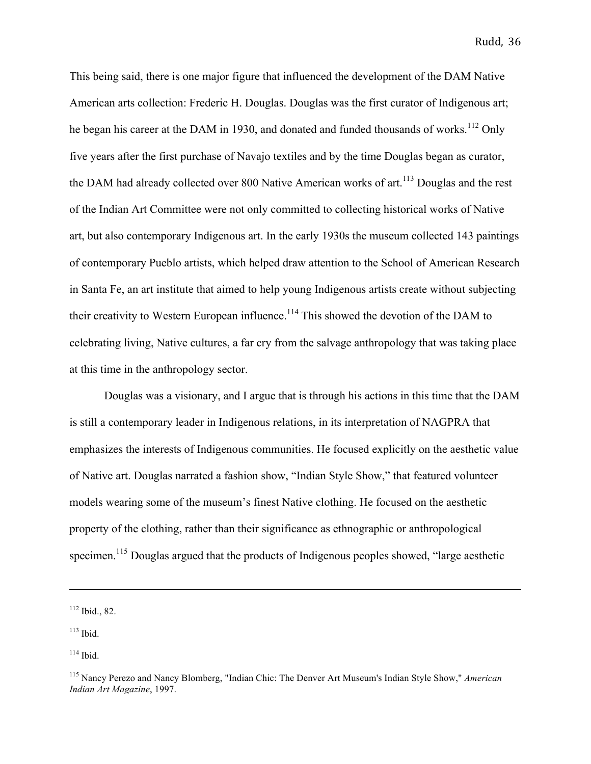This being said, there is one major figure that influenced the development of the DAM Native American arts collection: Frederic H. Douglas. Douglas was the first curator of Indigenous art; he began his career at the DAM in 1930, and donated and funded thousands of works.<sup>112</sup> Only five years after the first purchase of Navajo textiles and by the time Douglas began as curator, the DAM had already collected over 800 Native American works of  $art<sup>113</sup>$  Douglas and the rest of the Indian Art Committee were not only committed to collecting historical works of Native art, but also contemporary Indigenous art. In the early 1930s the museum collected 143 paintings of contemporary Pueblo artists, which helped draw attention to the School of American Research in Santa Fe, an art institute that aimed to help young Indigenous artists create without subjecting their creativity to Western European influence.<sup>114</sup> This showed the devotion of the DAM to celebrating living, Native cultures, a far cry from the salvage anthropology that was taking place at this time in the anthropology sector.

Douglas was a visionary, and I argue that is through his actions in this time that the DAM is still a contemporary leader in Indigenous relations, in its interpretation of NAGPRA that emphasizes the interests of Indigenous communities. He focused explicitly on the aesthetic value of Native art. Douglas narrated a fashion show, "Indian Style Show," that featured volunteer models wearing some of the museum's finest Native clothing. He focused on the aesthetic property of the clothing, rather than their significance as ethnographic or anthropological specimen.<sup>115</sup> Douglas argued that the products of Indigenous peoples showed, "large aesthetic

<u> 1989 - Andrea San Andrea San Andrea San Andrea San Andrea San Andrea San Andrea San Andrea San Andrea San An</u>

<sup>112</sup> Ibid., 82.

 $113$  Ibid.

 $114$  Ibid.

<sup>115</sup> Nancy Perezo and Nancy Blomberg, "Indian Chic: The Denver Art Museum's Indian Style Show," *American Indian Art Magazine*, 1997.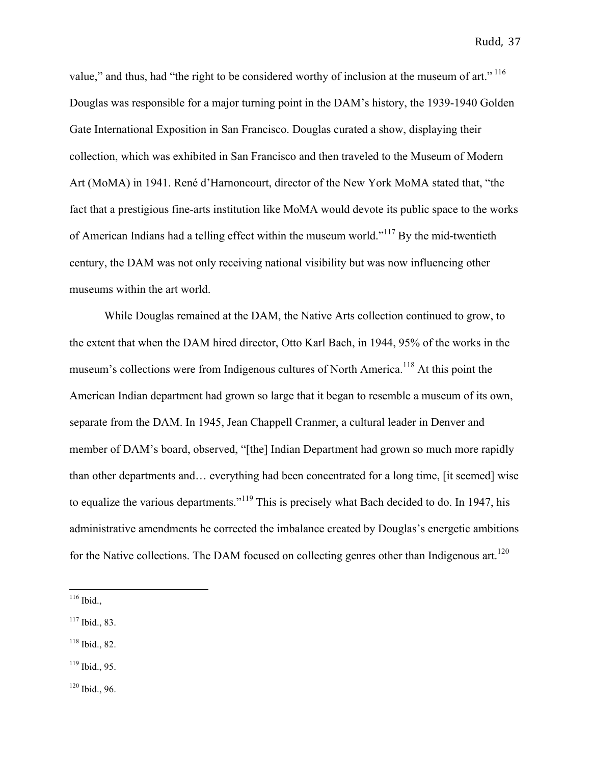value," and thus, had "the right to be considered worthy of inclusion at the museum of art."<sup>116</sup> Douglas was responsible for a major turning point in the DAM's history, the 1939-1940 Golden Gate International Exposition in San Francisco. Douglas curated a show, displaying their collection, which was exhibited in San Francisco and then traveled to the Museum of Modern Art (MoMA) in 1941. René d'Harnoncourt, director of the New York MoMA stated that, "the fact that a prestigious fine-arts institution like MoMA would devote its public space to the works of American Indians had a telling effect within the museum world."<sup>117</sup> By the mid-twentieth century, the DAM was not only receiving national visibility but was now influencing other museums within the art world.

While Douglas remained at the DAM, the Native Arts collection continued to grow, to the extent that when the DAM hired director, Otto Karl Bach, in 1944, 95% of the works in the museum's collections were from Indigenous cultures of North America.<sup>118</sup> At this point the American Indian department had grown so large that it began to resemble a museum of its own, separate from the DAM. In 1945, Jean Chappell Cranmer, a cultural leader in Denver and member of DAM's board, observed, "[the] Indian Department had grown so much more rapidly than other departments and… everything had been concentrated for a long time, [it seemed] wise to equalize the various departments."<sup>119</sup> This is precisely what Bach decided to do. In 1947, his administrative amendments he corrected the imbalance created by Douglas's energetic ambitions for the Native collections. The DAM focused on collecting genres other than Indigenous art.<sup>120</sup>

 $120$  Ibid., 96.

 $116$  Ibid.,

 $117$  Ibid., 83.

<sup>118</sup> Ibid., 82.

 $119$  Ibid., 95.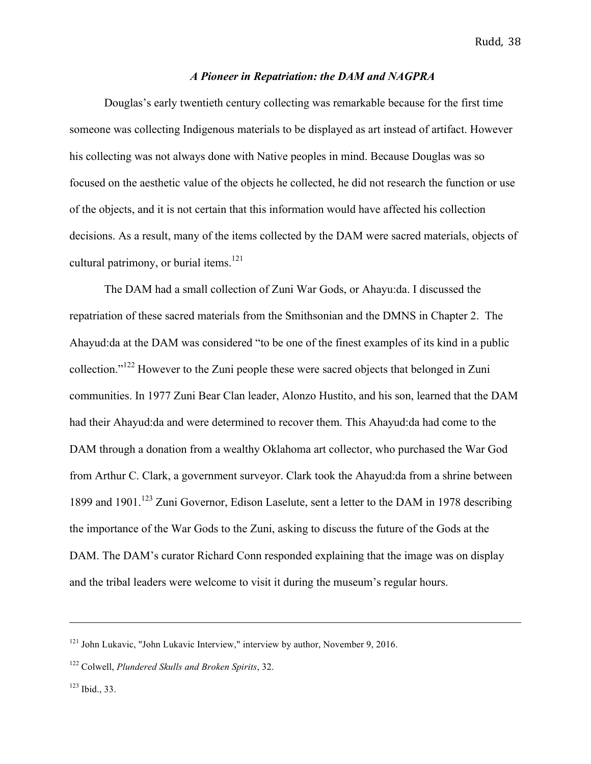## *A Pioneer in Repatriation: the DAM and NAGPRA*

Douglas's early twentieth century collecting was remarkable because for the first time someone was collecting Indigenous materials to be displayed as art instead of artifact. However his collecting was not always done with Native peoples in mind. Because Douglas was so focused on the aesthetic value of the objects he collected, he did not research the function or use of the objects, and it is not certain that this information would have affected his collection decisions. As a result, many of the items collected by the DAM were sacred materials, objects of cultural patrimony, or burial items.<sup>121</sup>

The DAM had a small collection of Zuni War Gods, or Ahayu:da. I discussed the repatriation of these sacred materials from the Smithsonian and the DMNS in Chapter 2. The Ahayud:da at the DAM was considered "to be one of the finest examples of its kind in a public collection."<sup>122</sup> However to the Zuni people these were sacred objects that belonged in Zuni communities. In 1977 Zuni Bear Clan leader, Alonzo Hustito, and his son, learned that the DAM had their Ahayud:da and were determined to recover them. This Ahayud:da had come to the DAM through a donation from a wealthy Oklahoma art collector, who purchased the War God from Arthur C. Clark, a government surveyor. Clark took the Ahayud:da from a shrine between 1899 and 1901.<sup>123</sup> Zuni Governor, Edison Laselute, sent a letter to the DAM in 1978 describing the importance of the War Gods to the Zuni, asking to discuss the future of the Gods at the DAM. The DAM's curator Richard Conn responded explaining that the image was on display and the tribal leaders were welcome to visit it during the museum's regular hours.

<u> 1989 - Andrea Santa Andrea Santa Andrea Santa Andrea Santa Andrea Santa Andrea Santa Andrea Santa Andrea San</u>

 $121$  John Lukavic, "John Lukavic Interview," interview by author, November 9, 2016.

<sup>122</sup> Colwell, *Plundered Skulls and Broken Spirits*, 32.

 $123$  Ibid., 33.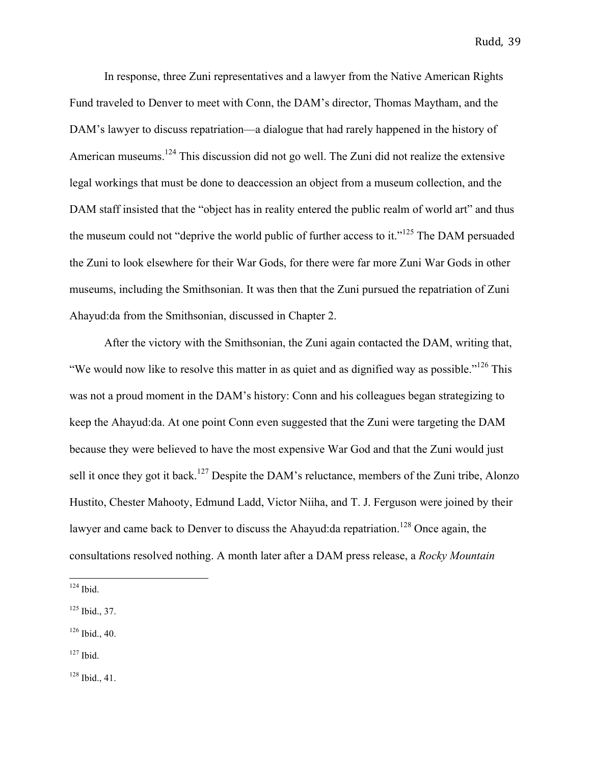In response, three Zuni representatives and a lawyer from the Native American Rights Fund traveled to Denver to meet with Conn, the DAM's director, Thomas Maytham, and the DAM's lawyer to discuss repatriation—a dialogue that had rarely happened in the history of American museums.<sup>124</sup> This discussion did not go well. The Zuni did not realize the extensive legal workings that must be done to deaccession an object from a museum collection, and the DAM staff insisted that the "object has in reality entered the public realm of world art" and thus the museum could not "deprive the world public of further access to it."<sup>125</sup> The DAM persuaded the Zuni to look elsewhere for their War Gods, for there were far more Zuni War Gods in other museums, including the Smithsonian. It was then that the Zuni pursued the repatriation of Zuni Ahayud:da from the Smithsonian, discussed in Chapter 2.

After the victory with the Smithsonian, the Zuni again contacted the DAM, writing that, "We would now like to resolve this matter in as quiet and as dignified way as possible."126 This was not a proud moment in the DAM's history: Conn and his colleagues began strategizing to keep the Ahayud:da. At one point Conn even suggested that the Zuni were targeting the DAM because they were believed to have the most expensive War God and that the Zuni would just sell it once they got it back.<sup>127</sup> Despite the DAM's reluctance, members of the Zuni tribe, Alonzo Hustito, Chester Mahooty, Edmund Ladd, Victor Niiha, and T. J. Ferguson were joined by their lawyer and came back to Denver to discuss the Ahayud: da repatriation.<sup>128</sup> Once again, the consultations resolved nothing. A month later after a DAM press release, a *Rocky Mountain* 

 $127$  Ibid.

 $128$  Ibid., 41.

 $124$  Ibid.

<sup>125</sup> Ibid., 37.

 $126$  Ibid., 40.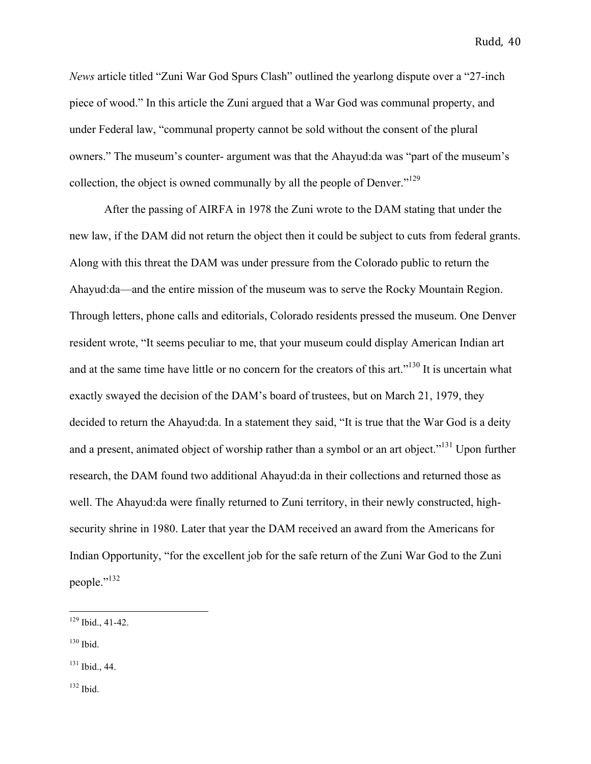*News* article titled "Zuni War God Spurs Clash" outlined the yearlong dispute over a "27-inch piece of wood." In this article the Zuni argued that a War God was communal property, and under Federal law, "communal property cannot be sold without the consent of the plural owners." The museum's counter- argument was that the Ahayud:da was "part of the museum's collection, the object is owned communally by all the people of Denver."<sup>129</sup>

After the passing of AIRFA in 1978 the Zuni wrote to the DAM stating that under the new law, if the DAM did not return the object then it could be subject to cuts from federal grants. Along with this threat the DAM was under pressure from the Colorado public to return the Ahayud:da—and the entire mission of the museum was to serve the Rocky Mountain Region. Through letters, phone calls and editorials, Colorado residents pressed the museum. One Denver resident wrote, "It seems peculiar to me, that your museum could display American Indian art and at the same time have little or no concern for the creators of this art."<sup>130</sup> It is uncertain what exactly swayed the decision of the DAM's board of trustees, but on March 21, 1979, they decided to return the Ahayud:da. In a statement they said, "It is true that the War God is a deity and a present, animated object of worship rather than a symbol or an art object."<sup>131</sup> Upon further research, the DAM found two additional Ahayud:da in their collections and returned those as well. The Ahayud:da were finally returned to Zuni territory, in their newly constructed, highsecurity shrine in 1980. Later that year the DAM received an award from the Americans for Indian Opportunity, "for the excellent job for the safe return of the Zuni War God to the Zuni people."<sup>132</sup>

- $130$  Ibid.
- <sup>131</sup> Ibid., 44.

<sup>132</sup> Ibid.

 $129$  Ibid., 41-42.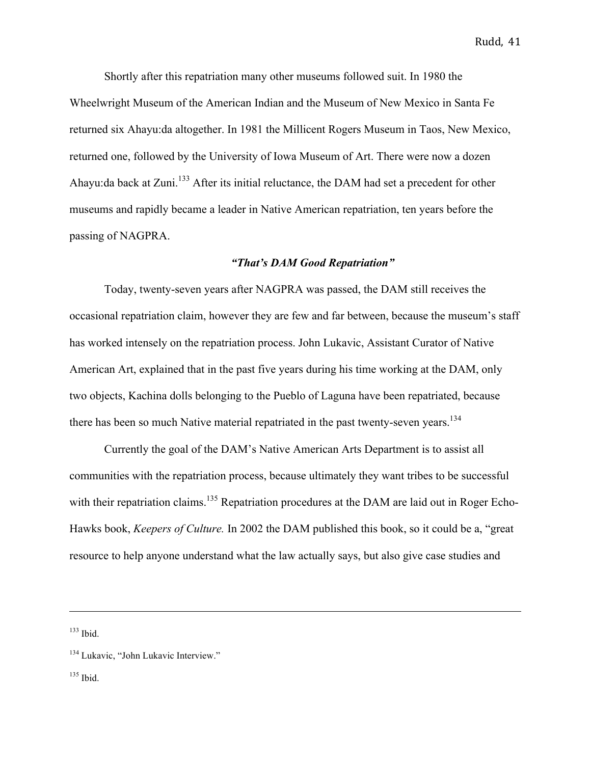Shortly after this repatriation many other museums followed suit. In 1980 the Wheelwright Museum of the American Indian and the Museum of New Mexico in Santa Fe returned six Ahayu:da altogether. In 1981 the Millicent Rogers Museum in Taos, New Mexico, returned one, followed by the University of Iowa Museum of Art. There were now a dozen Ahayu:da back at Zuni.<sup>133</sup> After its initial reluctance, the DAM had set a precedent for other museums and rapidly became a leader in Native American repatriation, ten years before the passing of NAGPRA.

# *"That's DAM Good Repatriation"*

Today, twenty-seven years after NAGPRA was passed, the DAM still receives the occasional repatriation claim, however they are few and far between, because the museum's staff has worked intensely on the repatriation process. John Lukavic, Assistant Curator of Native American Art, explained that in the past five years during his time working at the DAM, only two objects, Kachina dolls belonging to the Pueblo of Laguna have been repatriated, because there has been so much Native material repatriated in the past twenty-seven years.<sup>134</sup>

Currently the goal of the DAM's Native American Arts Department is to assist all communities with the repatriation process, because ultimately they want tribes to be successful with their repatriation claims.<sup>135</sup> Repatriation procedures at the DAM are laid out in Roger Echo-Hawks book, *Keepers of Culture.* In 2002 the DAM published this book, so it could be a, "great resource to help anyone understand what the law actually says, but also give case studies and

<u> 1989 - Andrea Santa Andrea Santa Andrea Santa Andrea Santa Andrea Santa Andrea Santa Andrea Santa Andrea San</u>

 $133$  Ibid.

 $135$  Ibid.

<sup>&</sup>lt;sup>134</sup> Lukavic, "John Lukavic Interview."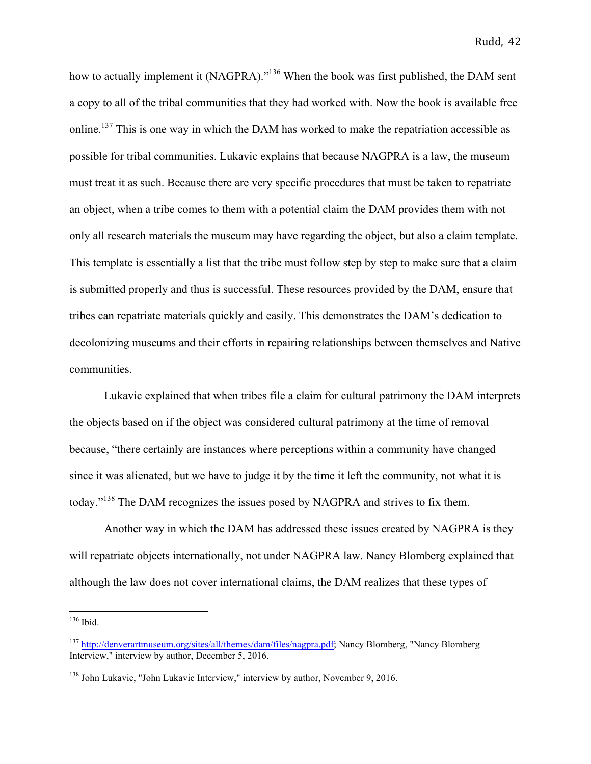how to actually implement it (NAGPRA)."<sup>136</sup> When the book was first published, the DAM sent a copy to all of the tribal communities that they had worked with. Now the book is available free online.<sup>137</sup> This is one way in which the DAM has worked to make the repatriation accessible as possible for tribal communities. Lukavic explains that because NAGPRA is a law, the museum must treat it as such. Because there are very specific procedures that must be taken to repatriate an object, when a tribe comes to them with a potential claim the DAM provides them with not only all research materials the museum may have regarding the object, but also a claim template. This template is essentially a list that the tribe must follow step by step to make sure that a claim is submitted properly and thus is successful. These resources provided by the DAM, ensure that tribes can repatriate materials quickly and easily. This demonstrates the DAM's dedication to decolonizing museums and their efforts in repairing relationships between themselves and Native communities.

Lukavic explained that when tribes file a claim for cultural patrimony the DAM interprets the objects based on if the object was considered cultural patrimony at the time of removal because, "there certainly are instances where perceptions within a community have changed since it was alienated, but we have to judge it by the time it left the community, not what it is today."<sup>138</sup> The DAM recognizes the issues posed by NAGPRA and strives to fix them.

Another way in which the DAM has addressed these issues created by NAGPRA is they will repatriate objects internationally, not under NAGPRA law. Nancy Blomberg explained that although the law does not cover international claims, the DAM realizes that these types of

 $136$  Ibid.

<sup>137</sup> http://denverartmuseum.org/sites/all/themes/dam/files/nagpra.pdf; Nancy Blomberg, "Nancy Blomberg Interview," interview by author, December 5, 2016.

<sup>138</sup> John Lukavic, "John Lukavic Interview," interview by author, November 9, 2016.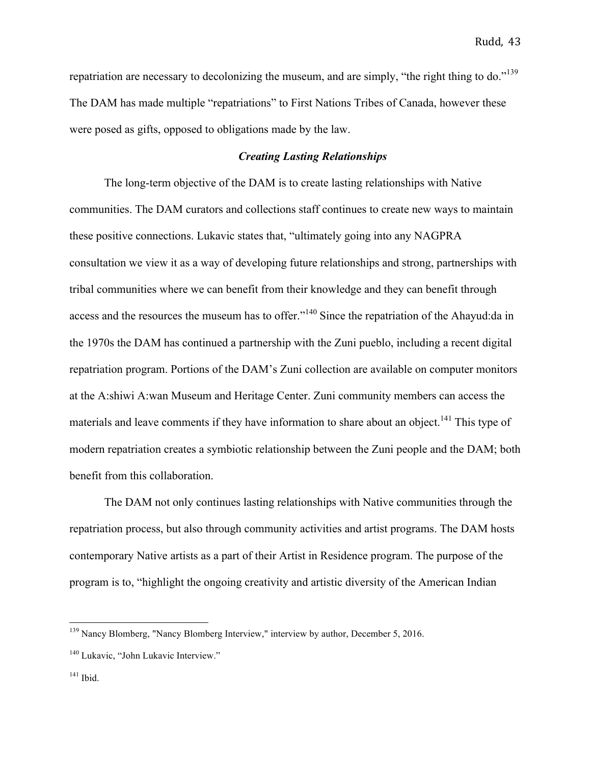repatriation are necessary to decolonizing the museum, and are simply, "the right thing to do."<sup>139</sup> The DAM has made multiple "repatriations" to First Nations Tribes of Canada, however these were posed as gifts, opposed to obligations made by the law.

# *Creating Lasting Relationships*

The long-term objective of the DAM is to create lasting relationships with Native communities. The DAM curators and collections staff continues to create new ways to maintain these positive connections. Lukavic states that, "ultimately going into any NAGPRA consultation we view it as a way of developing future relationships and strong, partnerships with tribal communities where we can benefit from their knowledge and they can benefit through access and the resources the museum has to offer."<sup>140</sup> Since the repatriation of the Ahayud:da in the 1970s the DAM has continued a partnership with the Zuni pueblo, including a recent digital repatriation program. Portions of the DAM's Zuni collection are available on computer monitors at the A:shiwi A:wan Museum and Heritage Center. Zuni community members can access the materials and leave comments if they have information to share about an object.<sup>141</sup> This type of modern repatriation creates a symbiotic relationship between the Zuni people and the DAM; both benefit from this collaboration.

The DAM not only continues lasting relationships with Native communities through the repatriation process, but also through community activities and artist programs. The DAM hosts contemporary Native artists as a part of their Artist in Residence program. The purpose of the program is to, "highlight the ongoing creativity and artistic diversity of the American Indian

<sup>&</sup>lt;sup>139</sup> Nancy Blomberg, "Nancy Blomberg Interview," interview by author, December 5, 2016.

<sup>&</sup>lt;sup>140</sup> Lukavic, "John Lukavic Interview."

<sup>&</sup>lt;sup>141</sup> Ibid.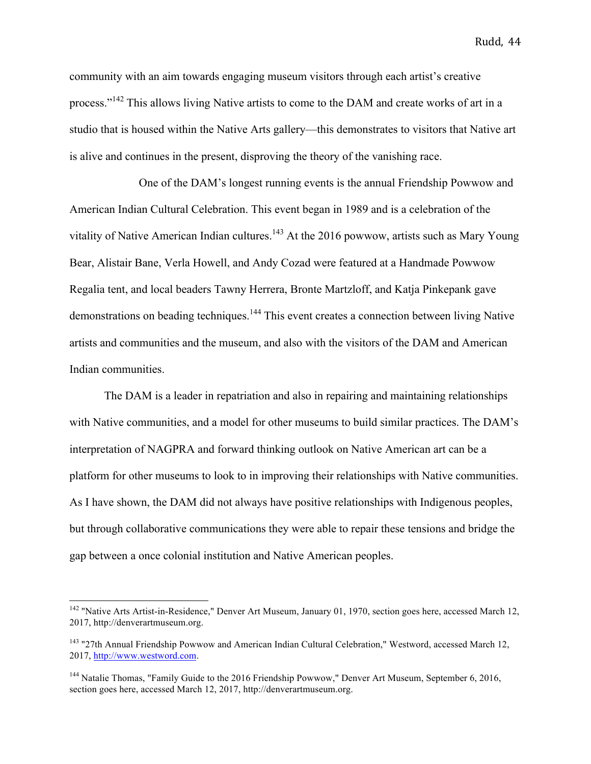community with an aim towards engaging museum visitors through each artist's creative process."<sup>142</sup> This allows living Native artists to come to the DAM and create works of art in a studio that is housed within the Native Arts gallery—this demonstrates to visitors that Native art is alive and continues in the present, disproving the theory of the vanishing race.

One of the DAM's longest running events is the annual Friendship Powwow and American Indian Cultural Celebration. This event began in 1989 and is a celebration of the vitality of Native American Indian cultures.<sup>143</sup> At the 2016 powwow, artists such as Mary Young Bear, Alistair Bane, Verla Howell, and Andy Cozad were featured at a Handmade Powwow Regalia tent, and local beaders Tawny Herrera, Bronte Martzloff, and Katja Pinkepank gave demonstrations on beading techniques.<sup>144</sup> This event creates a connection between living Native artists and communities and the museum, and also with the visitors of the DAM and American Indian communities.

The DAM is a leader in repatriation and also in repairing and maintaining relationships with Native communities, and a model for other museums to build similar practices. The DAM's interpretation of NAGPRA and forward thinking outlook on Native American art can be a platform for other museums to look to in improving their relationships with Native communities. As I have shown, the DAM did not always have positive relationships with Indigenous peoples, but through collaborative communications they were able to repair these tensions and bridge the gap between a once colonial institution and Native American peoples.

<sup>&</sup>lt;sup>142</sup> "Native Arts Artist-in-Residence," Denver Art Museum, January 01, 1970, section goes here, accessed March 12, 2017, http://denverartmuseum.org.

<sup>&</sup>lt;sup>143</sup> "27th Annual Friendship Powwow and American Indian Cultural Celebration," Westword, accessed March 12, 2017, http://www.westword.com.

<sup>&</sup>lt;sup>144</sup> Natalie Thomas, "Family Guide to the 2016 Friendship Powwow," Denver Art Museum, September 6, 2016, section goes here, accessed March 12, 2017, http://denverartmuseum.org.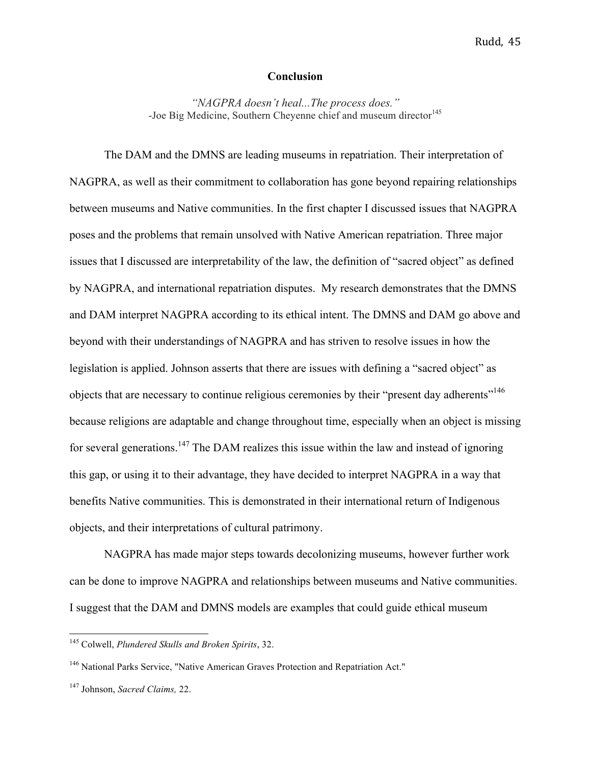## **Conclusion**

*"NAGPRA doesn't heal...The process does."* -Joe Big Medicine, Southern Cheyenne chief and museum director<sup>145</sup>

The DAM and the DMNS are leading museums in repatriation. Their interpretation of NAGPRA, as well as their commitment to collaboration has gone beyond repairing relationships between museums and Native communities. In the first chapter I discussed issues that NAGPRA poses and the problems that remain unsolved with Native American repatriation. Three major issues that I discussed are interpretability of the law, the definition of "sacred object" as defined by NAGPRA, and international repatriation disputes. My research demonstrates that the DMNS and DAM interpret NAGPRA according to its ethical intent. The DMNS and DAM go above and beyond with their understandings of NAGPRA and has striven to resolve issues in how the legislation is applied. Johnson asserts that there are issues with defining a "sacred object" as objects that are necessary to continue religious ceremonies by their "present day adherents"<sup>146</sup> because religions are adaptable and change throughout time, especially when an object is missing for several generations.<sup>147</sup> The DAM realizes this issue within the law and instead of ignoring this gap, or using it to their advantage, they have decided to interpret NAGPRA in a way that benefits Native communities. This is demonstrated in their international return of Indigenous objects, and their interpretations of cultural patrimony.

NAGPRA has made major steps towards decolonizing museums, however further work can be done to improve NAGPRA and relationships between museums and Native communities. I suggest that the DAM and DMNS models are examples that could guide ethical museum

 <sup>145</sup> Colwell, *Plundered Skulls and Broken Spirits*, 32.

<sup>&</sup>lt;sup>146</sup> National Parks Service, "Native American Graves Protection and Repatriation Act."

<sup>147</sup> Johnson, *Sacred Claims,* 22.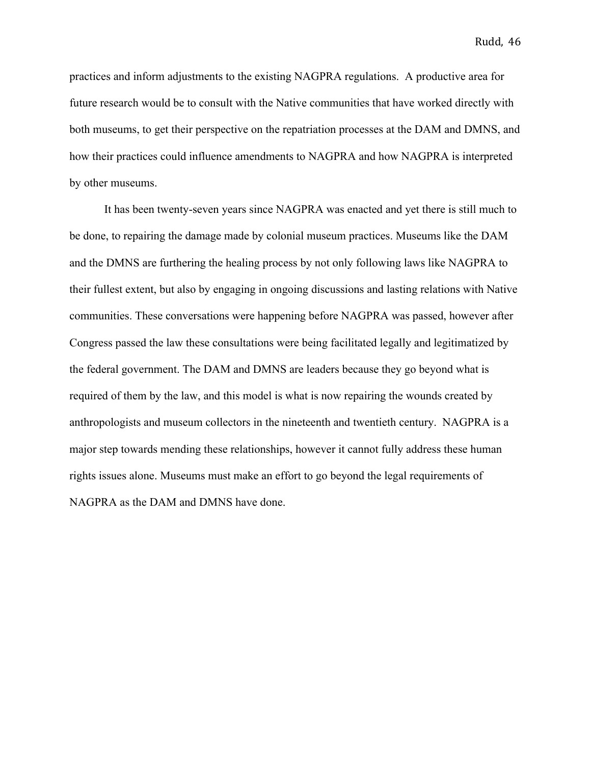practices and inform adjustments to the existing NAGPRA regulations. A productive area for future research would be to consult with the Native communities that have worked directly with both museums, to get their perspective on the repatriation processes at the DAM and DMNS, and how their practices could influence amendments to NAGPRA and how NAGPRA is interpreted by other museums.

It has been twenty-seven years since NAGPRA was enacted and yet there is still much to be done, to repairing the damage made by colonial museum practices. Museums like the DAM and the DMNS are furthering the healing process by not only following laws like NAGPRA to their fullest extent, but also by engaging in ongoing discussions and lasting relations with Native communities. These conversations were happening before NAGPRA was passed, however after Congress passed the law these consultations were being facilitated legally and legitimatized by the federal government. The DAM and DMNS are leaders because they go beyond what is required of them by the law, and this model is what is now repairing the wounds created by anthropologists and museum collectors in the nineteenth and twentieth century. NAGPRA is a major step towards mending these relationships, however it cannot fully address these human rights issues alone. Museums must make an effort to go beyond the legal requirements of NAGPRA as the DAM and DMNS have done.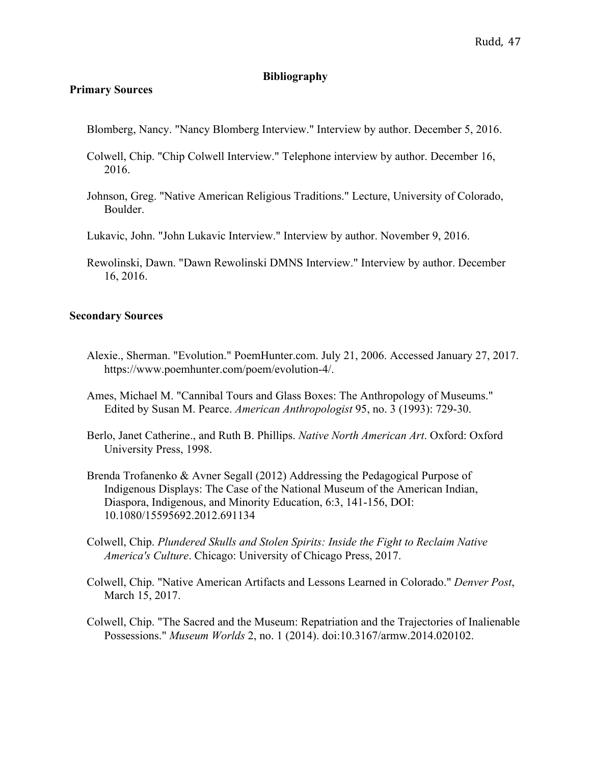# **Bibliography**

# **Primary Sources**

- Blomberg, Nancy. "Nancy Blomberg Interview." Interview by author. December 5, 2016.
- Colwell, Chip. "Chip Colwell Interview." Telephone interview by author. December 16, 2016.
- Johnson, Greg. "Native American Religious Traditions." Lecture, University of Colorado, Boulder.
- Lukavic, John. "John Lukavic Interview." Interview by author. November 9, 2016.
- Rewolinski, Dawn. "Dawn Rewolinski DMNS Interview." Interview by author. December 16, 2016.

#### **Secondary Sources**

- Alexie., Sherman. "Evolution." PoemHunter.com. July 21, 2006. Accessed January 27, 2017. https://www.poemhunter.com/poem/evolution-4/.
- Ames, Michael M. "Cannibal Tours and Glass Boxes: The Anthropology of Museums." Edited by Susan M. Pearce. *American Anthropologist* 95, no. 3 (1993): 729-30.
- Berlo, Janet Catherine., and Ruth B. Phillips. *Native North American Art*. Oxford: Oxford University Press, 1998.
- Brenda Trofanenko & Avner Segall (2012) Addressing the Pedagogical Purpose of Indigenous Displays: The Case of the National Museum of the American Indian, Diaspora, Indigenous, and Minority Education, 6:3, 141-156, DOI: 10.1080/15595692.2012.691134
- Colwell, Chip. *Plundered Skulls and Stolen Spirits: Inside the Fight to Reclaim Native America's Culture*. Chicago: University of Chicago Press, 2017.
- Colwell, Chip. "Native American Artifacts and Lessons Learned in Colorado." *Denver Post*, March 15, 2017.
- Colwell, Chip. "The Sacred and the Museum: Repatriation and the Trajectories of Inalienable Possessions." *Museum Worlds* 2, no. 1 (2014). doi:10.3167/armw.2014.020102.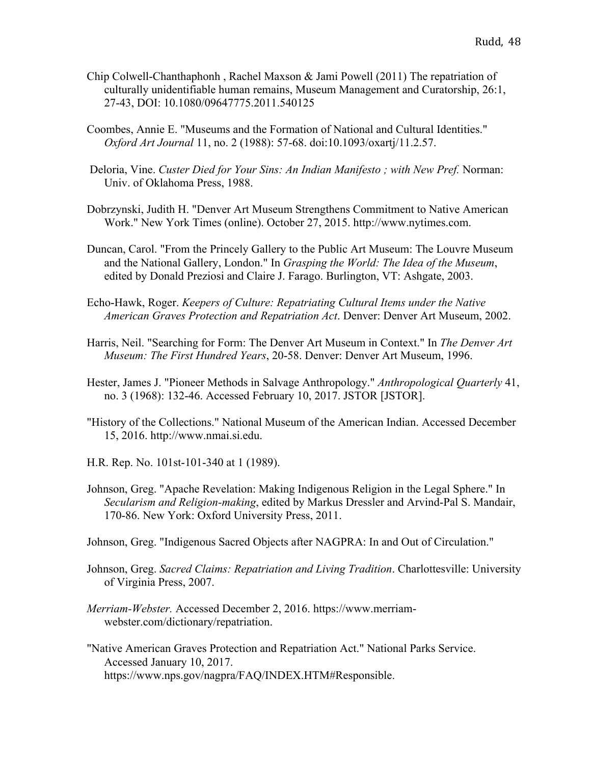- Chip Colwell-Chanthaphonh , Rachel Maxson & Jami Powell (2011) The repatriation of culturally unidentifiable human remains, Museum Management and Curatorship, 26:1, 27-43, DOI: 10.1080/09647775.2011.540125
- Coombes, Annie E. "Museums and the Formation of National and Cultural Identities." *Oxford Art Journal* 11, no. 2 (1988): 57-68. doi:10.1093/oxartj/11.2.57.
- Deloria, Vine. *Custer Died for Your Sins: An Indian Manifesto ; with New Pref.* Norman: Univ. of Oklahoma Press, 1988.
- Dobrzynski, Judith H. "Denver Art Museum Strengthens Commitment to Native American Work." New York Times (online). October 27, 2015. http://www.nytimes.com.
- Duncan, Carol. "From the Princely Gallery to the Public Art Museum: The Louvre Museum and the National Gallery, London." In *Grasping the World: The Idea of the Museum*, edited by Donald Preziosi and Claire J. Farago. Burlington, VT: Ashgate, 2003.
- Echo-Hawk, Roger. *Keepers of Culture: Repatriating Cultural Items under the Native American Graves Protection and Repatriation Act*. Denver: Denver Art Museum, 2002.
- Harris, Neil. "Searching for Form: The Denver Art Museum in Context." In *The Denver Art Museum: The First Hundred Years*, 20-58. Denver: Denver Art Museum, 1996.
- Hester, James J. "Pioneer Methods in Salvage Anthropology." *Anthropological Quarterly* 41, no. 3 (1968): 132-46. Accessed February 10, 2017. JSTOR [JSTOR].
- "History of the Collections." National Museum of the American Indian. Accessed December 15, 2016. http://www.nmai.si.edu.
- H.R. Rep. No. 101st-101-340 at 1 (1989).
- Johnson, Greg. "Apache Revelation: Making Indigenous Religion in the Legal Sphere." In *Secularism and Religion-making*, edited by Markus Dressler and Arvind-Pal S. Mandair, 170-86. New York: Oxford University Press, 2011.

Johnson, Greg. "Indigenous Sacred Objects after NAGPRA: In and Out of Circulation."

- Johnson, Greg. *Sacred Claims: Repatriation and Living Tradition*. Charlottesville: University of Virginia Press, 2007.
- *Merriam-Webster.* Accessed December 2, 2016. https://www.merriamwebster.com/dictionary/repatriation.
- "Native American Graves Protection and Repatriation Act." National Parks Service. Accessed January 10, 2017. https://www.nps.gov/nagpra/FAQ/INDEX.HTM#Responsible.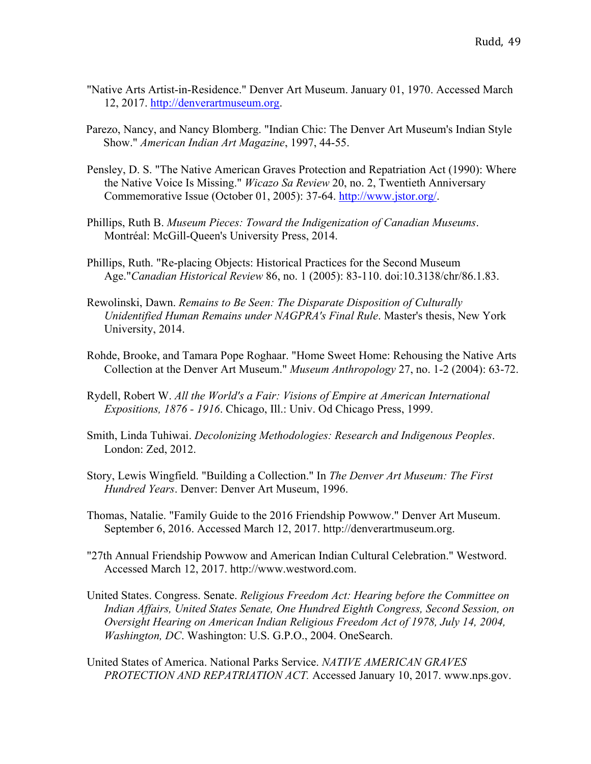- "Native Arts Artist-in-Residence." Denver Art Museum. January 01, 1970. Accessed March 12, 2017. http://denverartmuseum.org.
- Parezo, Nancy, and Nancy Blomberg. "Indian Chic: The Denver Art Museum's Indian Style Show." *American Indian Art Magazine*, 1997, 44-55.
- Pensley, D. S. "The Native American Graves Protection and Repatriation Act (1990): Where the Native Voice Is Missing." *Wicazo Sa Review* 20, no. 2, Twentieth Anniversary Commemorative Issue (October 01, 2005): 37-64. http://www.jstor.org/.
- Phillips, Ruth B. *Museum Pieces: Toward the Indigenization of Canadian Museums*. Montréal: McGill-Queen's University Press, 2014.
- Phillips, Ruth. "Re-placing Objects: Historical Practices for the Second Museum Age."*Canadian Historical Review* 86, no. 1 (2005): 83-110. doi:10.3138/chr/86.1.83.
- Rewolinski, Dawn. *Remains to Be Seen: The Disparate Disposition of Culturally Unidentified Human Remains under NAGPRA's Final Rule*. Master's thesis, New York University, 2014.
- Rohde, Brooke, and Tamara Pope Roghaar. "Home Sweet Home: Rehousing the Native Arts Collection at the Denver Art Museum." *Museum Anthropology* 27, no. 1-2 (2004): 63-72.
- Rydell, Robert W. *All the World's a Fair: Visions of Empire at American International Expositions, 1876 - 1916*. Chicago, Ill.: Univ. Od Chicago Press, 1999.
- Smith, Linda Tuhiwai. *Decolonizing Methodologies: Research and Indigenous Peoples*. London: Zed, 2012.
- Story, Lewis Wingfield. "Building a Collection." In *The Denver Art Museum: The First Hundred Years*. Denver: Denver Art Museum, 1996.
- Thomas, Natalie. "Family Guide to the 2016 Friendship Powwow." Denver Art Museum. September 6, 2016. Accessed March 12, 2017. http://denverartmuseum.org.
- "27th Annual Friendship Powwow and American Indian Cultural Celebration." Westword. Accessed March 12, 2017. http://www.westword.com.
- United States. Congress. Senate. *Religious Freedom Act: Hearing before the Committee on Indian Affairs, United States Senate, One Hundred Eighth Congress, Second Session, on Oversight Hearing on American Indian Religious Freedom Act of 1978, July 14, 2004, Washington, DC*. Washington: U.S. G.P.O., 2004. OneSearch.
- United States of America. National Parks Service. *NATIVE AMERICAN GRAVES PROTECTION AND REPATRIATION ACT.* Accessed January 10, 2017. www.nps.gov.